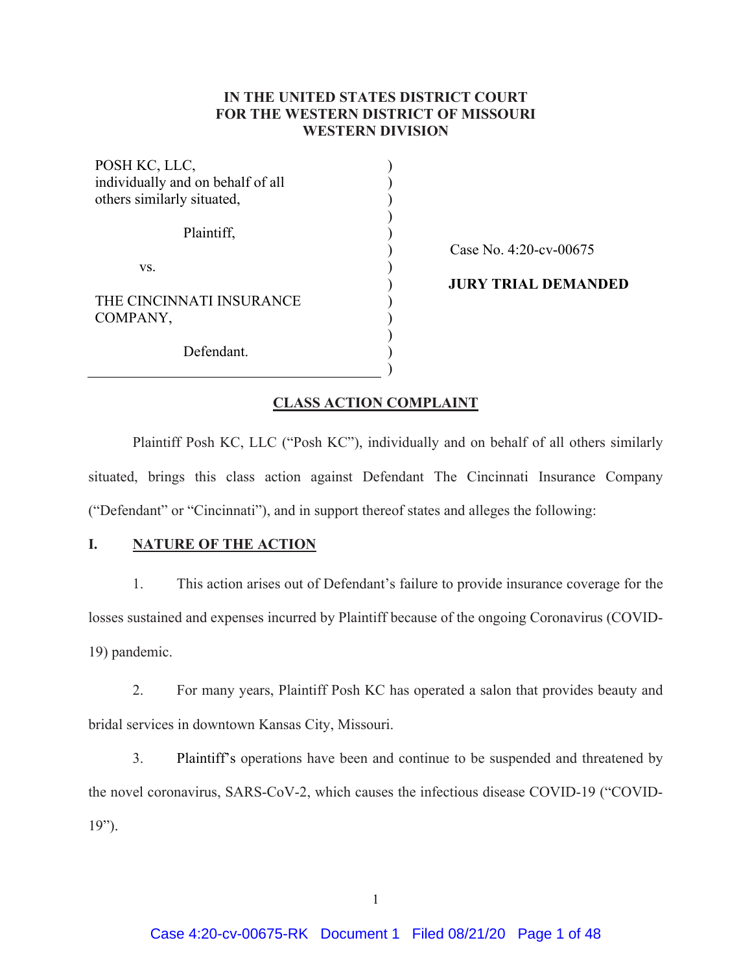# **IN THE UNITED STATES DISTRICT COURT FOR THE WESTERN DISTRICT OF MISSOURI WESTERN DIVISION**

) ) ) ) ) ) ) ) ) ) ) ) )

| POSH KC, LLC,<br>individually and on behalf of all<br>others similarly situated, |  |
|----------------------------------------------------------------------------------|--|
| Plaintiff,                                                                       |  |
| VS.                                                                              |  |
| THE CINCINNATI INSURANCE<br>COMPANY,                                             |  |
| Defendant.                                                                       |  |

Case No. 4:20-cv-00675

**JURY TRIAL DEMANDED** 

## **CLASS ACTION COMPLAINT**

Plaintiff Posh KC, LLC ("Posh KC"), individually and on behalf of all others similarly situated, brings this class action against Defendant The Cincinnati Insurance Company ("Defendant" or "Cincinnati"), and in support thereof states and alleges the following:

## **I. NATURE OF THE ACTION**

1. This action arises out of Defendant's failure to provide insurance coverage for the losses sustained and expenses incurred by Plaintiff because of the ongoing Coronavirus (COVID-19) pandemic.

2. For many years, Plaintiff Posh KC has operated a salon that provides beauty and bridal services in downtown Kansas City, Missouri.

3. Plaintiff's operations have been and continue to be suspended and threatened by the novel coronavirus, SARS-CoV-2, which causes the infectious disease COVID-19 ("COVID-19").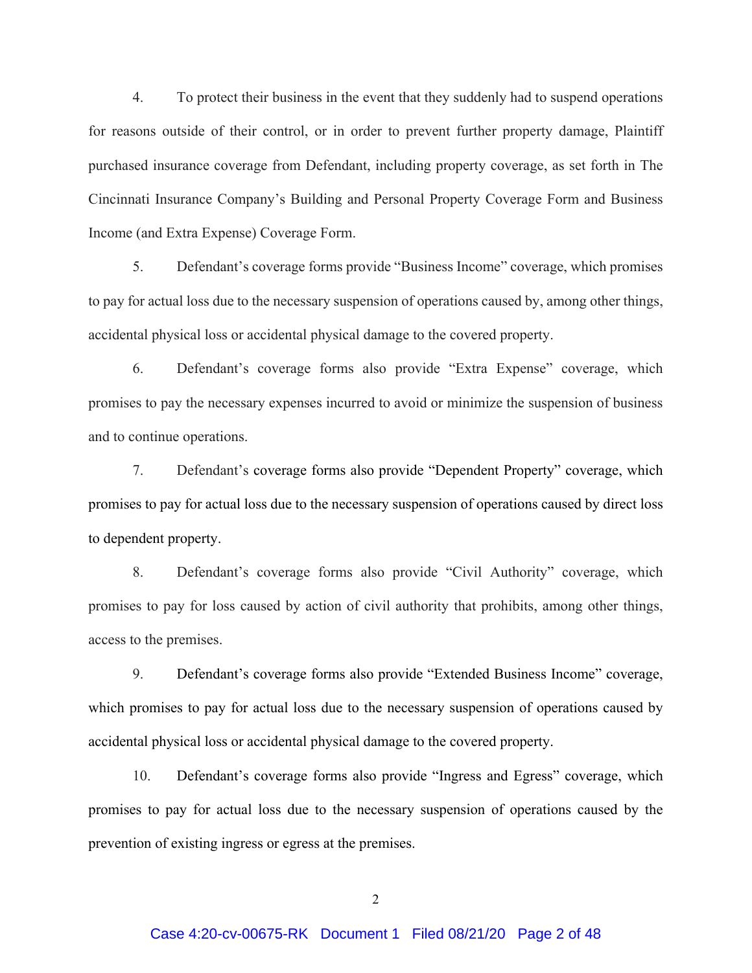4. To protect their business in the event that they suddenly had to suspend operations for reasons outside of their control, or in order to prevent further property damage, Plaintiff purchased insurance coverage from Defendant, including property coverage, as set forth in The Cincinnati Insurance Company's Building and Personal Property Coverage Form and Business Income (and Extra Expense) Coverage Form.

5. Defendant's coverage forms provide "Business Income" coverage, which promises to pay for actual loss due to the necessary suspension of operations caused by, among other things, accidental physical loss or accidental physical damage to the covered property.

6. Defendant's coverage forms also provide "Extra Expense" coverage, which promises to pay the necessary expenses incurred to avoid or minimize the suspension of business and to continue operations.

7. Defendant's coverage forms also provide "Dependent Property" coverage, which promises to pay for actual loss due to the necessary suspension of operations caused by direct loss to dependent property.

8. Defendant's coverage forms also provide "Civil Authority" coverage, which promises to pay for loss caused by action of civil authority that prohibits, among other things, access to the premises.

9. Defendant's coverage forms also provide "Extended Business Income" coverage, which promises to pay for actual loss due to the necessary suspension of operations caused by accidental physical loss or accidental physical damage to the covered property.

10. Defendant's coverage forms also provide "Ingress and Egress" coverage, which promises to pay for actual loss due to the necessary suspension of operations caused by the prevention of existing ingress or egress at the premises.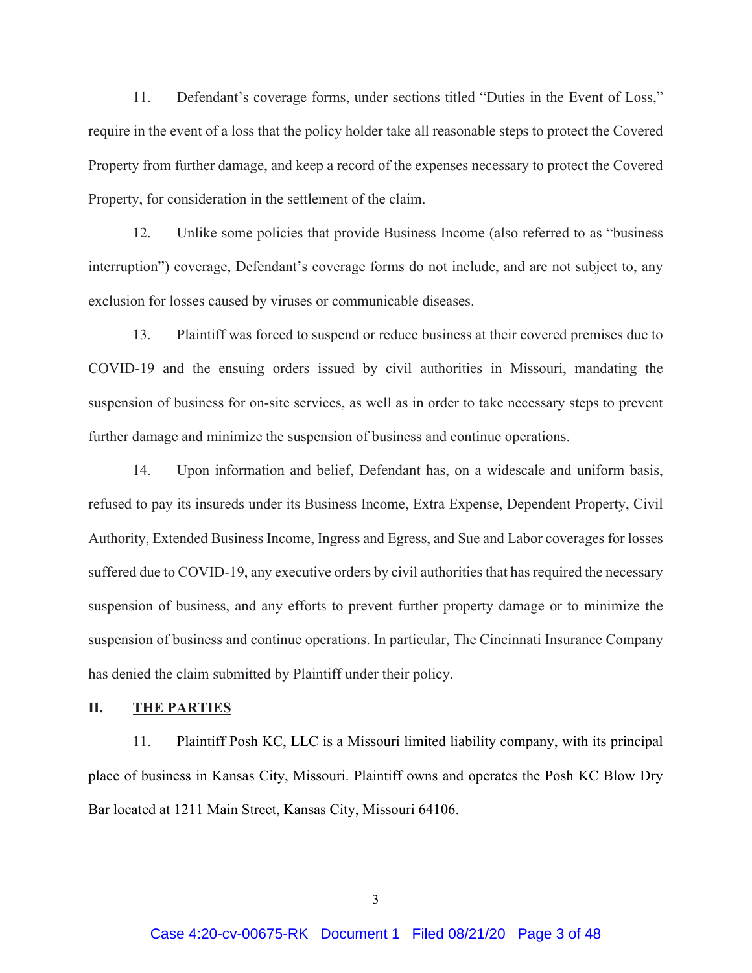11. Defendant's coverage forms, under sections titled "Duties in the Event of Loss," require in the event of a loss that the policy holder take all reasonable steps to protect the Covered Property from further damage, and keep a record of the expenses necessary to protect the Covered Property, for consideration in the settlement of the claim.

12. Unlike some policies that provide Business Income (also referred to as "business interruption") coverage, Defendant's coverage forms do not include, and are not subject to, any exclusion for losses caused by viruses or communicable diseases.

13. Plaintiff was forced to suspend or reduce business at their covered premises due to COVID-19 and the ensuing orders issued by civil authorities in Missouri, mandating the suspension of business for on-site services, as well as in order to take necessary steps to prevent further damage and minimize the suspension of business and continue operations.

14. Upon information and belief, Defendant has, on a widescale and uniform basis, refused to pay its insureds under its Business Income, Extra Expense, Dependent Property, Civil Authority, Extended Business Income, Ingress and Egress, and Sue and Labor coverages for losses suffered due to COVID-19, any executive orders by civil authorities that has required the necessary suspension of business, and any efforts to prevent further property damage or to minimize the suspension of business and continue operations. In particular, The Cincinnati Insurance Company has denied the claim submitted by Plaintiff under their policy.

## **II. THE PARTIES**

11. Plaintiff Posh KC, LLC is a Missouri limited liability company, with its principal place of business in Kansas City, Missouri. Plaintiff owns and operates the Posh KC Blow Dry Bar located at 1211 Main Street, Kansas City, Missouri 64106.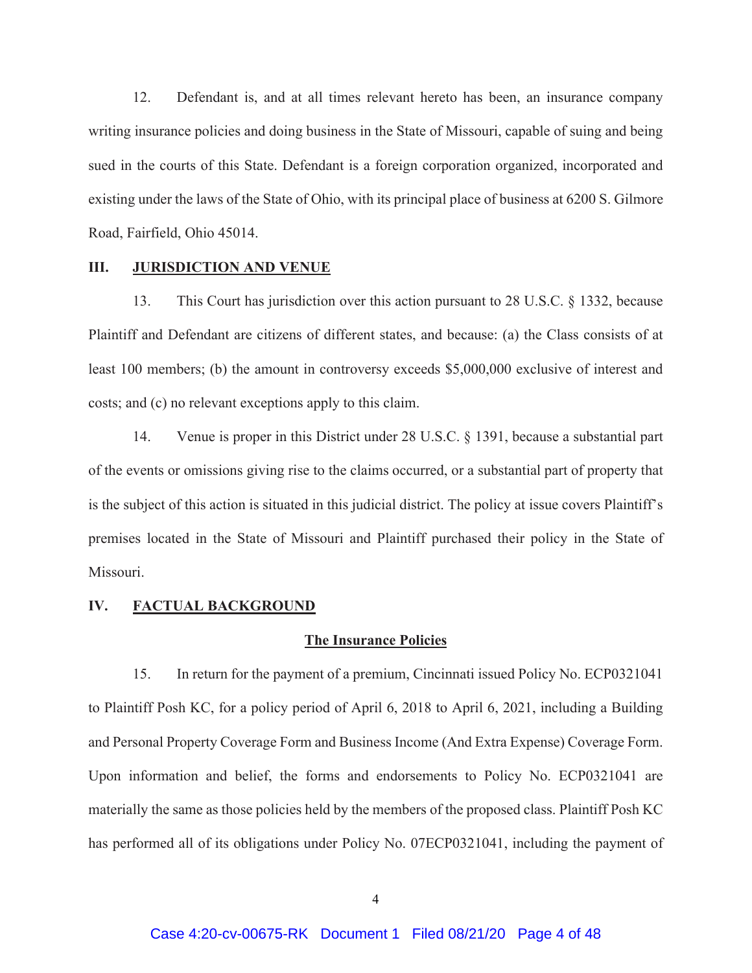12. Defendant is, and at all times relevant hereto has been, an insurance company writing insurance policies and doing business in the State of Missouri, capable of suing and being sued in the courts of this State. Defendant is a foreign corporation organized, incorporated and existing under the laws of the State of Ohio, with its principal place of business at 6200 S. Gilmore Road, Fairfield, Ohio 45014.

## **III. JURISDICTION AND VENUE**

13. This Court has jurisdiction over this action pursuant to 28 U.S.C. § 1332, because Plaintiff and Defendant are citizens of different states, and because: (a) the Class consists of at least 100 members; (b) the amount in controversy exceeds \$5,000,000 exclusive of interest and costs; and (c) no relevant exceptions apply to this claim.

14. Venue is proper in this District under 28 U.S.C. § 1391, because a substantial part of the events or omissions giving rise to the claims occurred, or a substantial part of property that is the subject of this action is situated in this judicial district. The policy at issue covers Plaintiff's premises located in the State of Missouri and Plaintiff purchased their policy in the State of Missouri.

### **IV. FACTUAL BACKGROUND**

#### **The Insurance Policies**

15. In return for the payment of a premium, Cincinnati issued Policy No. ECP0321041 to Plaintiff Posh KC, for a policy period of April 6, 2018 to April 6, 2021, including a Building and Personal Property Coverage Form and Business Income (And Extra Expense) Coverage Form. Upon information and belief, the forms and endorsements to Policy No. ECP0321041 are materially the same as those policies held by the members of the proposed class. Plaintiff Posh KC has performed all of its obligations under Policy No. 07ECP0321041, including the payment of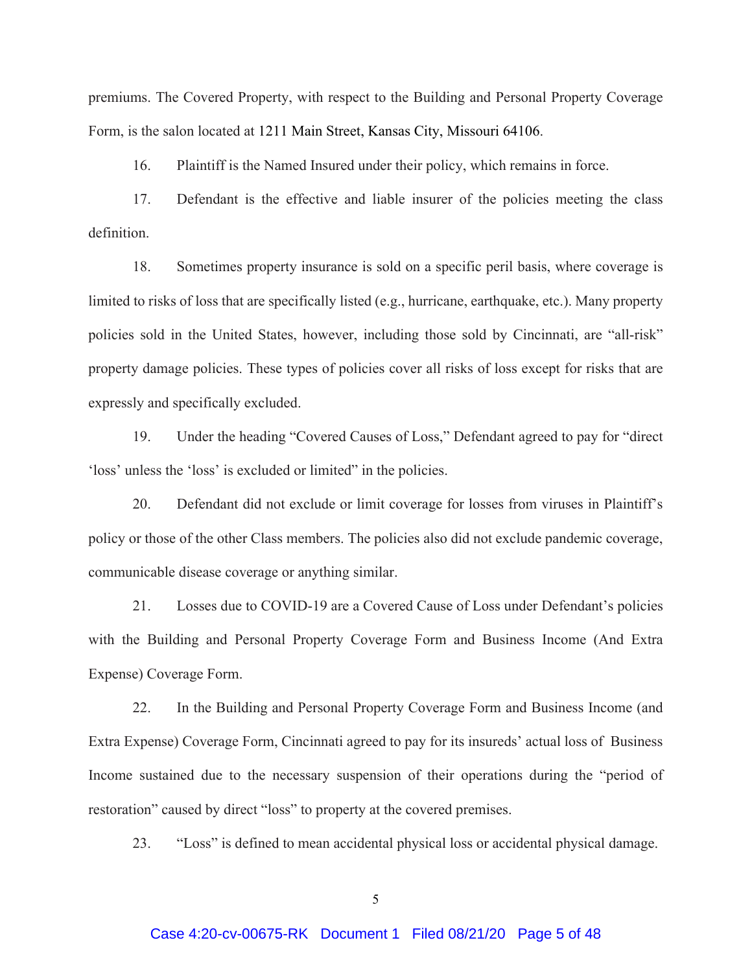premiums. The Covered Property, with respect to the Building and Personal Property Coverage Form, is the salon located at 1211 Main Street, Kansas City, Missouri 64106.

16. Plaintiff is the Named Insured under their policy, which remains in force.

17. Defendant is the effective and liable insurer of the policies meeting the class definition.

18. Sometimes property insurance is sold on a specific peril basis, where coverage is limited to risks of loss that are specifically listed (e.g., hurricane, earthquake, etc.). Many property policies sold in the United States, however, including those sold by Cincinnati, are "all-risk" property damage policies. These types of policies cover all risks of loss except for risks that are expressly and specifically excluded.

19. Under the heading "Covered Causes of Loss," Defendant agreed to pay for "direct 'loss' unless the 'loss' is excluded or limited" in the policies.

20. Defendant did not exclude or limit coverage for losses from viruses in Plaintiff's policy or those of the other Class members. The policies also did not exclude pandemic coverage, communicable disease coverage or anything similar.

21. Losses due to COVID-19 are a Covered Cause of Loss under Defendant's policies with the Building and Personal Property Coverage Form and Business Income (And Extra Expense) Coverage Form.

22. In the Building and Personal Property Coverage Form and Business Income (and Extra Expense) Coverage Form, Cincinnati agreed to pay for its insureds' actual loss of Business Income sustained due to the necessary suspension of their operations during the "period of restoration" caused by direct "loss" to property at the covered premises.

23. "Loss" is defined to mean accidental physical loss or accidental physical damage.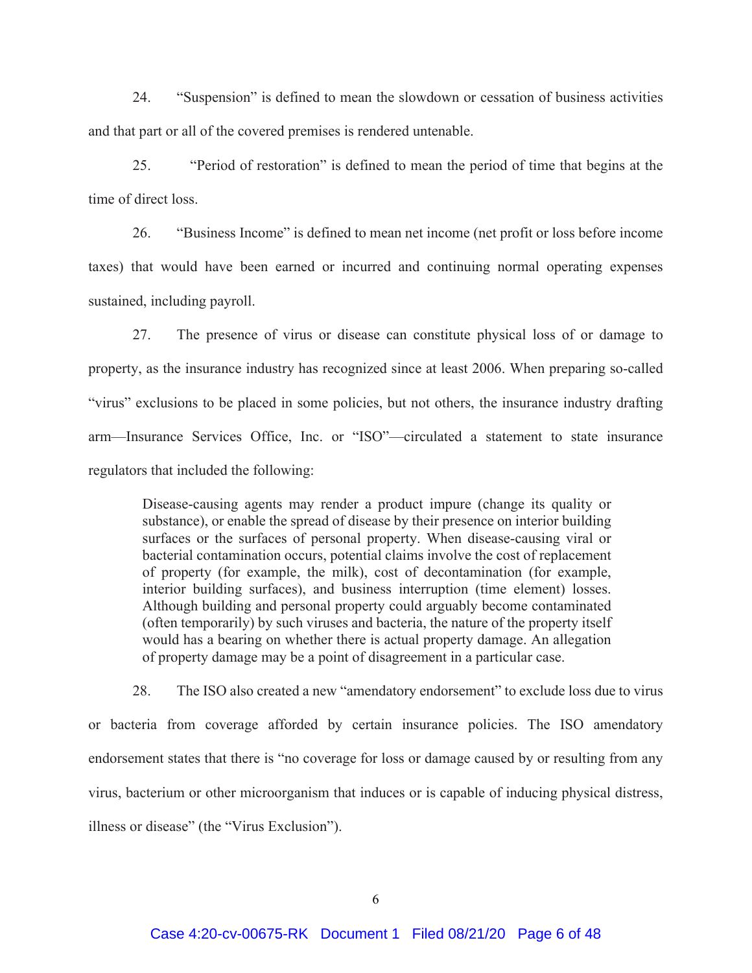24. "Suspension" is defined to mean the slowdown or cessation of business activities and that part or all of the covered premises is rendered untenable.

25. "Period of restoration" is defined to mean the period of time that begins at the time of direct loss.

26. "Business Income" is defined to mean net income (net profit or loss before income taxes) that would have been earned or incurred and continuing normal operating expenses sustained, including payroll.

27. The presence of virus or disease can constitute physical loss of or damage to property, as the insurance industry has recognized since at least 2006. When preparing so-called "virus" exclusions to be placed in some policies, but not others, the insurance industry drafting arm—Insurance Services Office, Inc. or "ISO"—circulated a statement to state insurance regulators that included the following:

Disease-causing agents may render a product impure (change its quality or substance), or enable the spread of disease by their presence on interior building surfaces or the surfaces of personal property. When disease-causing viral or bacterial contamination occurs, potential claims involve the cost of replacement of property (for example, the milk), cost of decontamination (for example, interior building surfaces), and business interruption (time element) losses. Although building and personal property could arguably become contaminated (often temporarily) by such viruses and bacteria, the nature of the property itself would has a bearing on whether there is actual property damage. An allegation of property damage may be a point of disagreement in a particular case.

28. The ISO also created a new "amendatory endorsement" to exclude loss due to virus or bacteria from coverage afforded by certain insurance policies. The ISO amendatory endorsement states that there is "no coverage for loss or damage caused by or resulting from any virus, bacterium or other microorganism that induces or is capable of inducing physical distress, illness or disease" (the "Virus Exclusion").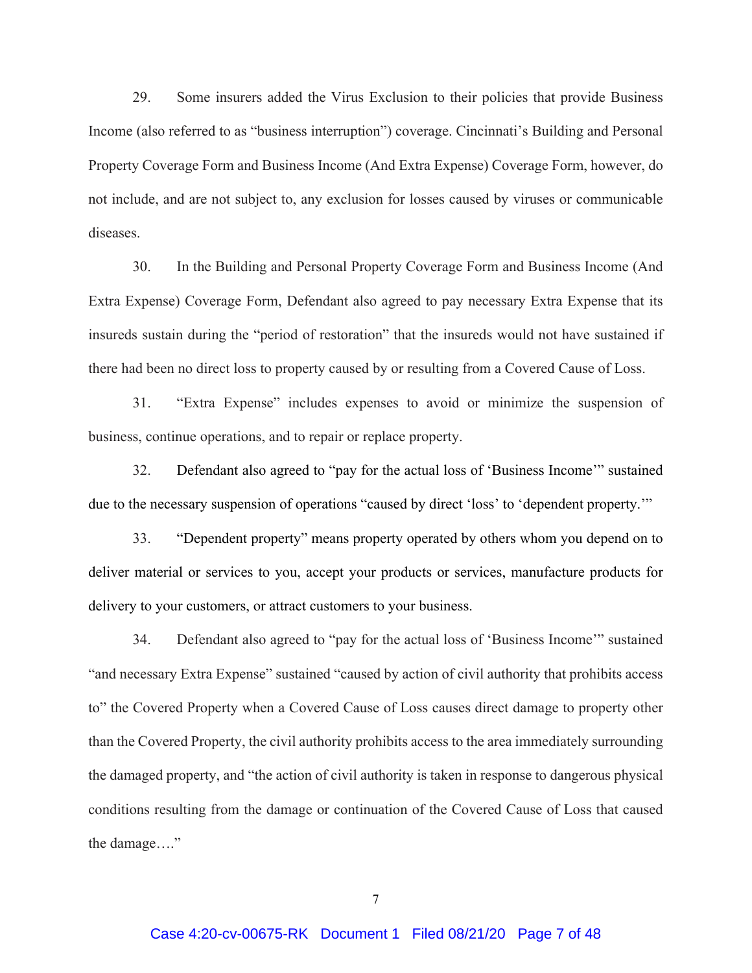29. Some insurers added the Virus Exclusion to their policies that provide Business Income (also referred to as "business interruption") coverage. Cincinnati's Building and Personal Property Coverage Form and Business Income (And Extra Expense) Coverage Form, however, do not include, and are not subject to, any exclusion for losses caused by viruses or communicable diseases.

30. In the Building and Personal Property Coverage Form and Business Income (And Extra Expense) Coverage Form, Defendant also agreed to pay necessary Extra Expense that its insureds sustain during the "period of restoration" that the insureds would not have sustained if there had been no direct loss to property caused by or resulting from a Covered Cause of Loss.

31. "Extra Expense" includes expenses to avoid or minimize the suspension of business, continue operations, and to repair or replace property.

32. Defendant also agreed to "pay for the actual loss of 'Business Income'" sustained due to the necessary suspension of operations "caused by direct 'loss' to 'dependent property.'"

33. "Dependent property" means property operated by others whom you depend on to deliver material or services to you, accept your products or services, manufacture products for delivery to your customers, or attract customers to your business.

34. Defendant also agreed to "pay for the actual loss of 'Business Income'" sustained "and necessary Extra Expense" sustained "caused by action of civil authority that prohibits access to" the Covered Property when a Covered Cause of Loss causes direct damage to property other than the Covered Property, the civil authority prohibits access to the area immediately surrounding the damaged property, and "the action of civil authority is taken in response to dangerous physical conditions resulting from the damage or continuation of the Covered Cause of Loss that caused the damage...."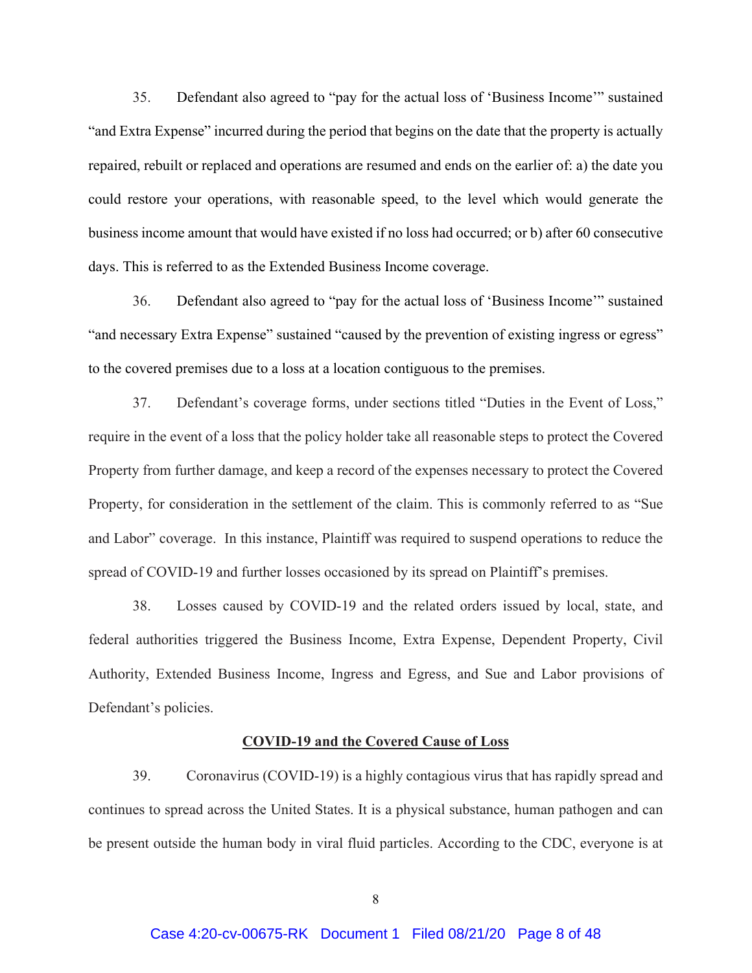35. Defendant also agreed to "pay for the actual loss of 'Business Income'" sustained "and Extra Expense" incurred during the period that begins on the date that the property is actually repaired, rebuilt or replaced and operations are resumed and ends on the earlier of: a) the date you could restore your operations, with reasonable speed, to the level which would generate the business income amount that would have existed if no loss had occurred; or b) after 60 consecutive days. This is referred to as the Extended Business Income coverage.

36. Defendant also agreed to "pay for the actual loss of 'Business Income'" sustained "and necessary Extra Expense" sustained "caused by the prevention of existing ingress or egress" to the covered premises due to a loss at a location contiguous to the premises.

37. Defendant's coverage forms, under sections titled "Duties in the Event of Loss," require in the event of a loss that the policy holder take all reasonable steps to protect the Covered Property from further damage, and keep a record of the expenses necessary to protect the Covered Property, for consideration in the settlement of the claim. This is commonly referred to as "Sue and Labor" coverage. In this instance, Plaintiff was required to suspend operations to reduce the spread of COVID-19 and further losses occasioned by its spread on Plaintiff's premises.

38. Losses caused by COVID-19 and the related orders issued by local, state, and federal authorities triggered the Business Income, Extra Expense, Dependent Property, Civil Authority, Extended Business Income, Ingress and Egress, and Sue and Labor provisions of Defendant's policies.

#### **COVID-19 and the Covered Cause of Loss**

39. Coronavirus (COVID-19) is a highly contagious virus that has rapidly spread and continues to spread across the United States. It is a physical substance, human pathogen and can be present outside the human body in viral fluid particles. According to the CDC, everyone is at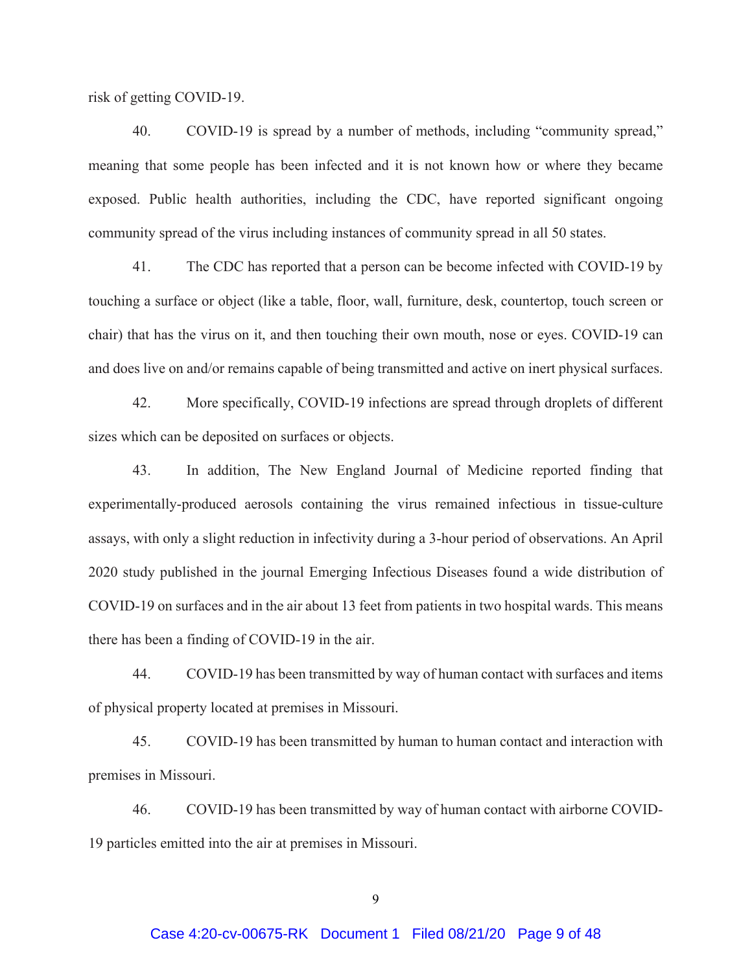risk of getting COVID-19.

40. COVID-19 is spread by a number of methods, including "community spread," meaning that some people has been infected and it is not known how or where they became exposed. Public health authorities, including the CDC, have reported significant ongoing community spread of the virus including instances of community spread in all 50 states.

41. The CDC has reported that a person can be become infected with COVID-19 by touching a surface or object (like a table, floor, wall, furniture, desk, countertop, touch screen or chair) that has the virus on it, and then touching their own mouth, nose or eyes. COVID-19 can and does live on and/or remains capable of being transmitted and active on inert physical surfaces.

42. More specifically, COVID-19 infections are spread through droplets of different sizes which can be deposited on surfaces or objects.

43. In addition, The New England Journal of Medicine reported finding that experimentally-produced aerosols containing the virus remained infectious in tissue-culture assays, with only a slight reduction in infectivity during a 3-hour period of observations. An April 2020 study published in the journal Emerging Infectious Diseases found a wide distribution of COVID-19 on surfaces and in the air about 13 feet from patients in two hospital wards. This means there has been a finding of COVID-19 in the air.

44. COVID-19 has been transmitted by way of human contact with surfaces and items of physical property located at premises in Missouri.

45. COVID-19 has been transmitted by human to human contact and interaction with premises in Missouri.

46. COVID-19 has been transmitted by way of human contact with airborne COVID-19 particles emitted into the air at premises in Missouri.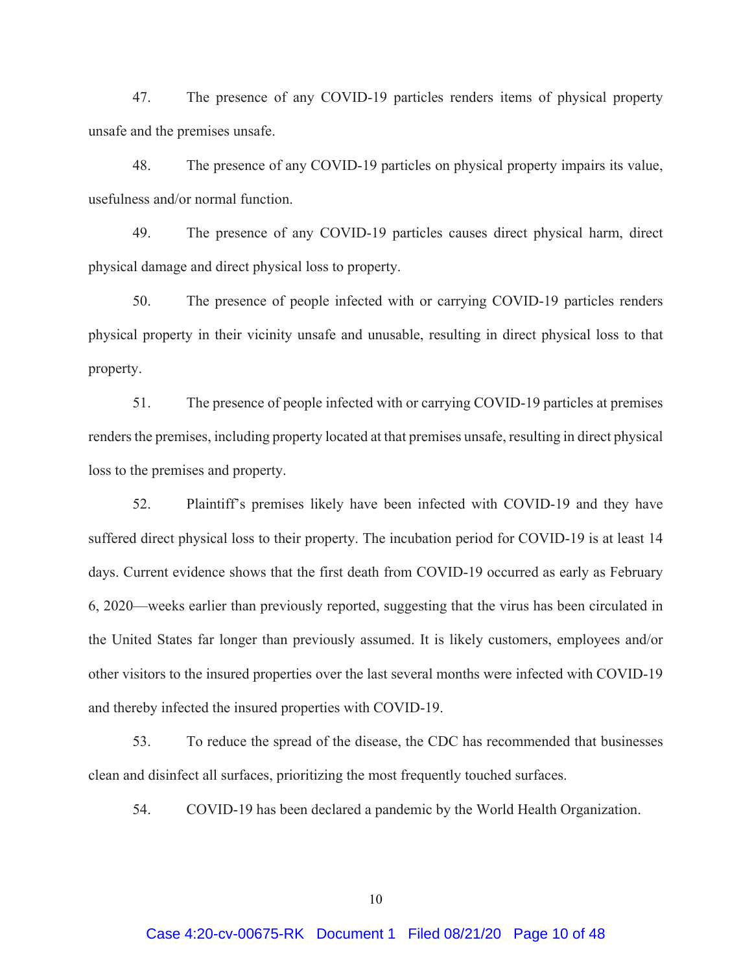47. The presence of any COVID-19 particles renders items of physical property unsafe and the premises unsafe.

48. The presence of any COVID-19 particles on physical property impairs its value, usefulness and/or normal function.

49. The presence of any COVID-19 particles causes direct physical harm, direct physical damage and direct physical loss to property.

50. The presence of people infected with or carrying COVID-19 particles renders physical property in their vicinity unsafe and unusable, resulting in direct physical loss to that property.

51. The presence of people infected with or carrying COVID-19 particles at premises renders the premises, including property located at that premises unsafe, resulting in direct physical loss to the premises and property.

52. Plaintiff's premises likely have been infected with COVID-19 and they have suffered direct physical loss to their property. The incubation period for COVID-19 is at least 14 days. Current evidence shows that the first death from COVID-19 occurred as early as February 6, 2020—weeks earlier than previously reported, suggesting that the virus has been circulated in the United States far longer than previously assumed. It is likely customers, employees and/or other visitors to the insured properties over the last several months were infected with COVID-19 and thereby infected the insured properties with COVID-19.

53. To reduce the spread of the disease, the CDC has recommended that businesses clean and disinfect all surfaces, prioritizing the most frequently touched surfaces.

54. COVID-19 has been declared a pandemic by the World Health Organization.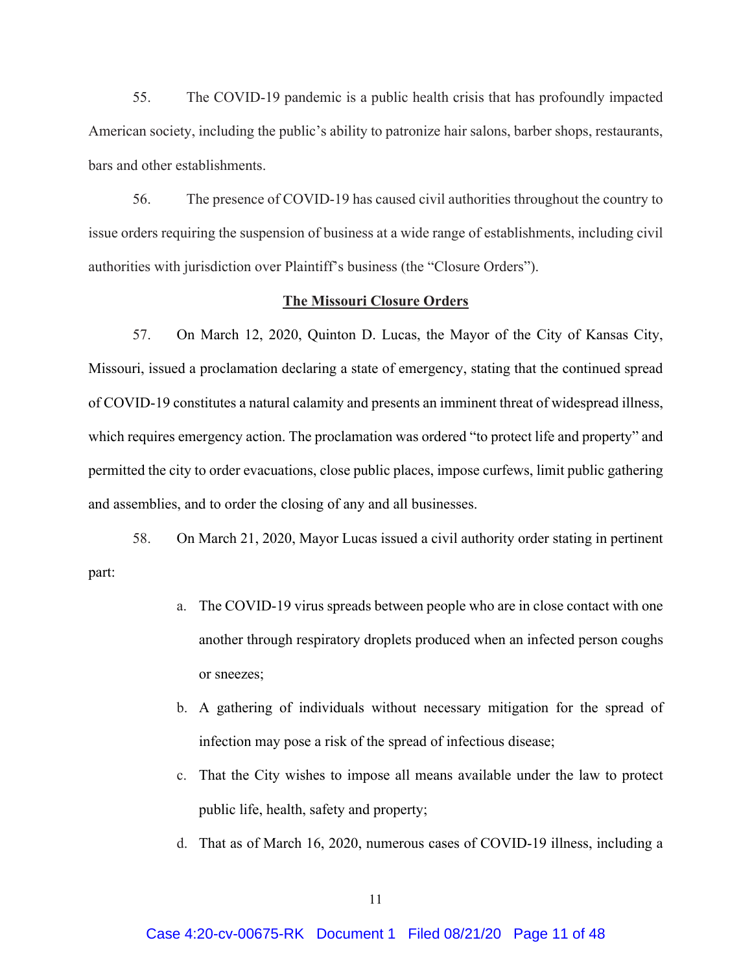55. The COVID-19 pandemic is a public health crisis that has profoundly impacted American society, including the public's ability to patronize hair salons, barber shops, restaurants, bars and other establishments.

56. The presence of COVID-19 has caused civil authorities throughout the country to issue orders requiring the suspension of business at a wide range of establishments, including civil authorities with jurisdiction over Plaintiff's business (the "Closure Orders").

#### **The Missouri Closure Orders**

57. On March 12, 2020, Quinton D. Lucas, the Mayor of the City of Kansas City, Missouri, issued a proclamation declaring a state of emergency, stating that the continued spread of COVID-19 constitutes a natural calamity and presents an imminent threat of widespread illness, which requires emergency action. The proclamation was ordered "to protect life and property" and permitted the city to order evacuations, close public places, impose curfews, limit public gathering and assemblies, and to order the closing of any and all businesses.

58. On March 21, 2020, Mayor Lucas issued a civil authority order stating in pertinent part:

- a. The COVID-19 virus spreads between people who are in close contact with one another through respiratory droplets produced when an infected person coughs or sneezes;
- b. A gathering of individuals without necessary mitigation for the spread of infection may pose a risk of the spread of infectious disease;
- c. That the City wishes to impose all means available under the law to protect public life, health, safety and property;
- d. That as of March 16, 2020, numerous cases of COVID-19 illness, including a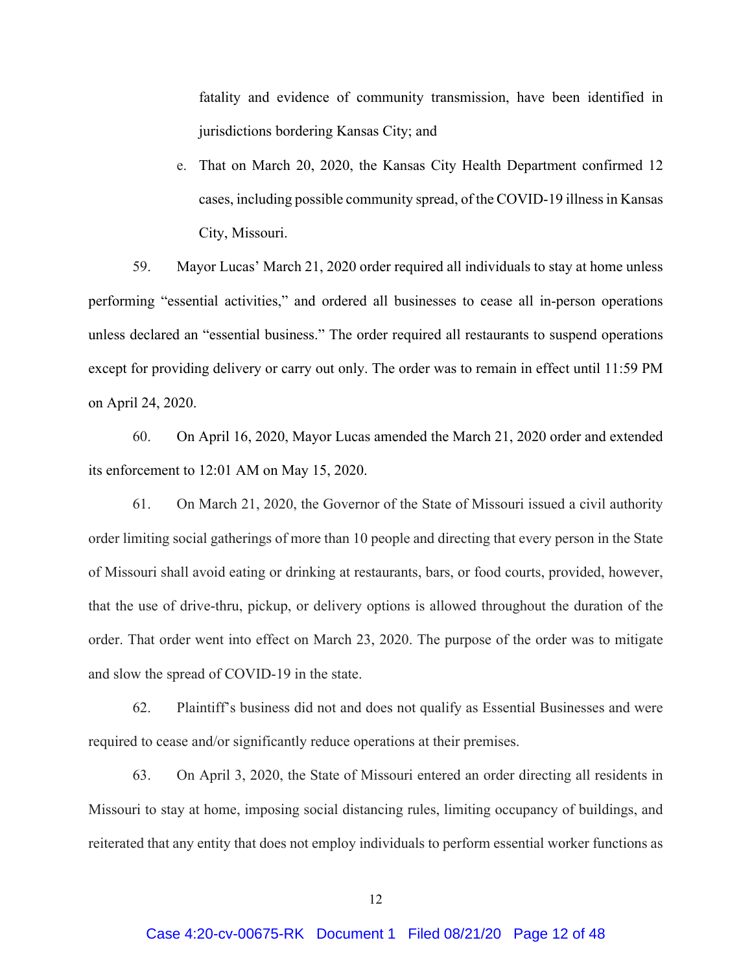fatality and evidence of community transmission, have been identified in jurisdictions bordering Kansas City; and

e. That on March 20, 2020, the Kansas City Health Department confirmed 12 cases, including possible community spread, of the COVID-19 illness in Kansas City, Missouri.

59. Mayor Lucas' March 21, 2020 order required all individuals to stay at home unless performing "essential activities," and ordered all businesses to cease all in-person operations unless declared an "essential business." The order required all restaurants to suspend operations except for providing delivery or carry out only. The order was to remain in effect until 11:59 PM on April 24, 2020.

60. On April 16, 2020, Mayor Lucas amended the March 21, 2020 order and extended its enforcement to 12:01 AM on May 15, 2020.

61. On March 21, 2020, the Governor of the State of Missouri issued a civil authority order limiting social gatherings of more than 10 people and directing that every person in the State of Missouri shall avoid eating or drinking at restaurants, bars, or food courts, provided, however, that the use of drive-thru, pickup, or delivery options is allowed throughout the duration of the order. That order went into effect on March 23, 2020. The purpose of the order was to mitigate and slow the spread of COVID-19 in the state.

62. Plaintiff's business did not and does not qualify as Essential Businesses and were required to cease and/or significantly reduce operations at their premises.

63. On April 3, 2020, the State of Missouri entered an order directing all residents in Missouri to stay at home, imposing social distancing rules, limiting occupancy of buildings, and reiterated that any entity that does not employ individuals to perform essential worker functions as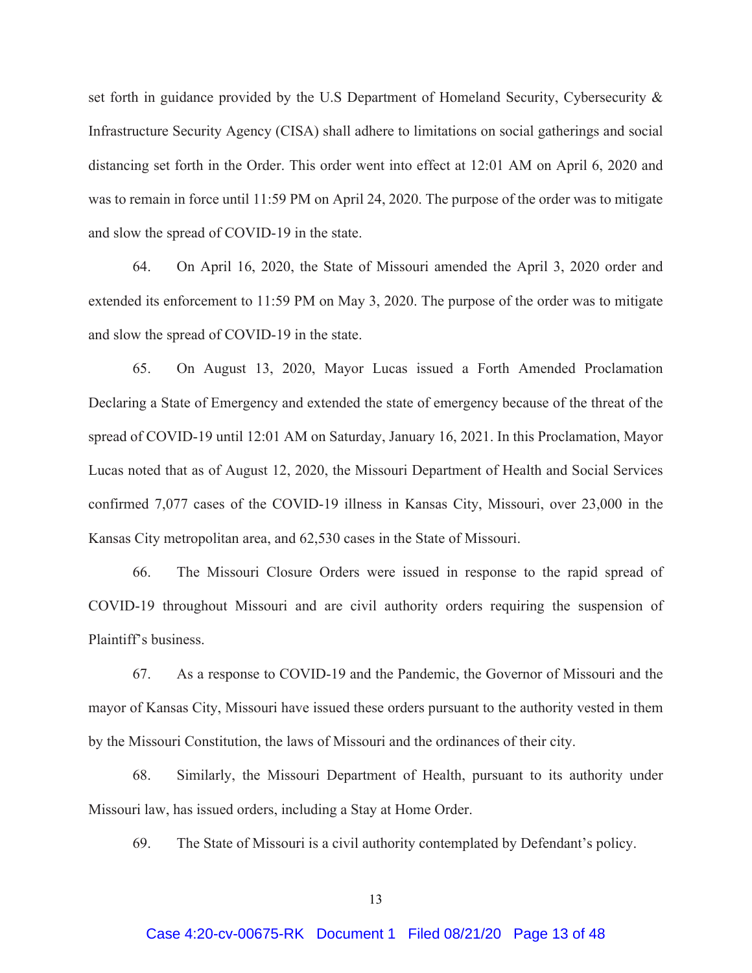set forth in guidance provided by the U.S Department of Homeland Security, Cybersecurity & Infrastructure Security Agency (CISA) shall adhere to limitations on social gatherings and social distancing set forth in the Order. This order went into effect at 12:01 AM on April 6, 2020 and was to remain in force until 11:59 PM on April 24, 2020. The purpose of the order was to mitigate and slow the spread of COVID-19 in the state.

64. On April 16, 2020, the State of Missouri amended the April 3, 2020 order and extended its enforcement to 11:59 PM on May 3, 2020. The purpose of the order was to mitigate and slow the spread of COVID-19 in the state.

65. On August 13, 2020, Mayor Lucas issued a Forth Amended Proclamation Declaring a State of Emergency and extended the state of emergency because of the threat of the spread of COVID-19 until 12:01 AM on Saturday, January 16, 2021. In this Proclamation, Mayor Lucas noted that as of August 12, 2020, the Missouri Department of Health and Social Services confirmed 7,077 cases of the COVID-19 illness in Kansas City, Missouri, over 23,000 in the Kansas City metropolitan area, and 62,530 cases in the State of Missouri.

66. The Missouri Closure Orders were issued in response to the rapid spread of COVID-19 throughout Missouri and are civil authority orders requiring the suspension of Plaintiff's business.

67. As a response to COVID-19 and the Pandemic, the Governor of Missouri and the mayor of Kansas City, Missouri have issued these orders pursuant to the authority vested in them by the Missouri Constitution, the laws of Missouri and the ordinances of their city.

68. Similarly, the Missouri Department of Health, pursuant to its authority under Missouri law, has issued orders, including a Stay at Home Order.

69. The State of Missouri is a civil authority contemplated by Defendant's policy.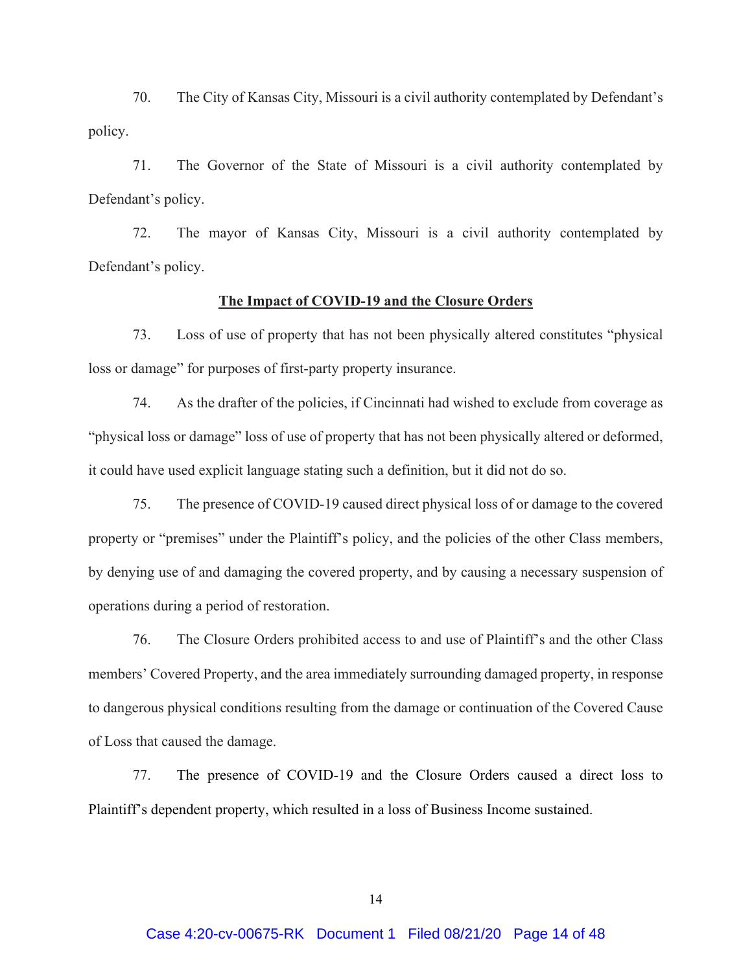70. The City of Kansas City, Missouri is a civil authority contemplated by Defendant's policy.

71. The Governor of the State of Missouri is a civil authority contemplated by Defendant's policy.

72. The mayor of Kansas City, Missouri is a civil authority contemplated by Defendant's policy.

## **The Impact of COVID-19 and the Closure Orders**

73. Loss of use of property that has not been physically altered constitutes "physical loss or damage" for purposes of first-party property insurance.

74. As the drafter of the policies, if Cincinnati had wished to exclude from coverage as "physical loss or damage" loss of use of property that has not been physically altered or deformed, it could have used explicit language stating such a definition, but it did not do so.

75. The presence of COVID-19 caused direct physical loss of or damage to the covered property or "premises" under the Plaintiff's policy, and the policies of the other Class members, by denying use of and damaging the covered property, and by causing a necessary suspension of operations during a period of restoration.

76. The Closure Orders prohibited access to and use of Plaintiff's and the other Class members' Covered Property, and the area immediately surrounding damaged property, in response to dangerous physical conditions resulting from the damage or continuation of the Covered Cause of Loss that caused the damage.

77. The presence of COVID-19 and the Closure Orders caused a direct loss to Plaintiff's dependent property, which resulted in a loss of Business Income sustained.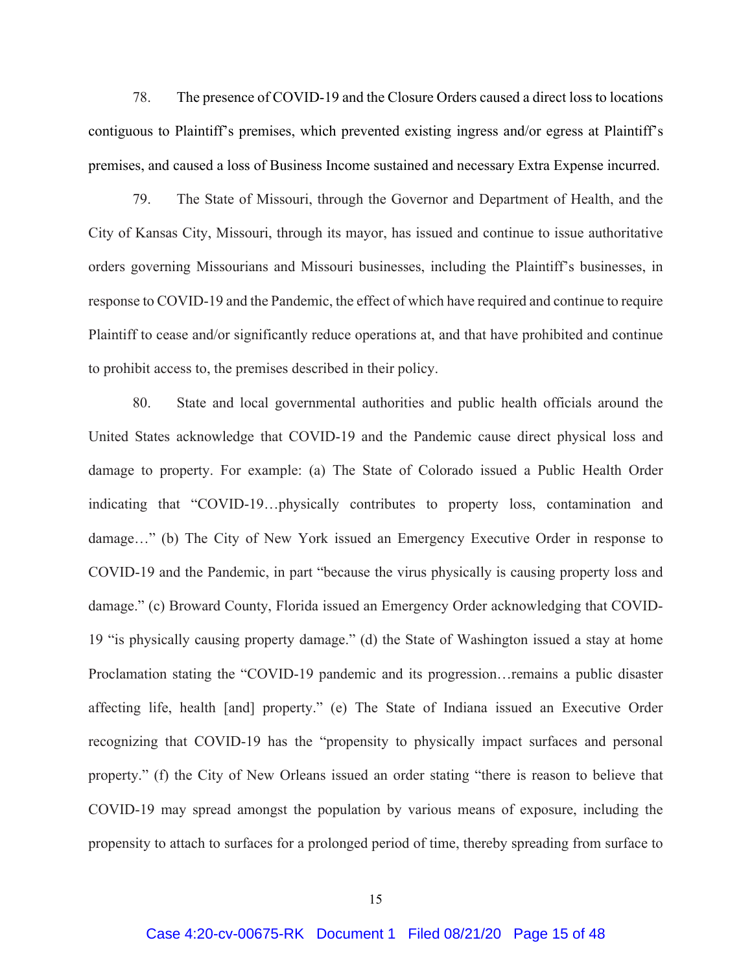78. The presence of COVID-19 and the Closure Orders caused a direct loss to locations contiguous to Plaintiff's premises, which prevented existing ingress and/or egress at Plaintiff's premises, and caused a loss of Business Income sustained and necessary Extra Expense incurred.

79. The State of Missouri, through the Governor and Department of Health, and the City of Kansas City, Missouri, through its mayor, has issued and continue to issue authoritative orders governing Missourians and Missouri businesses, including the Plaintiff's businesses, in response to COVID-19 and the Pandemic, the effect of which have required and continue to require Plaintiff to cease and/or significantly reduce operations at, and that have prohibited and continue to prohibit access to, the premises described in their policy.

80. State and local governmental authorities and public health officials around the United States acknowledge that COVID-19 and the Pandemic cause direct physical loss and damage to property. For example: (a) The State of Colorado issued a Public Health Order indicating that "COVID-19…physically contributes to property loss, contamination and damage…" (b) The City of New York issued an Emergency Executive Order in response to COVID-19 and the Pandemic, in part "because the virus physically is causing property loss and damage." (c) Broward County, Florida issued an Emergency Order acknowledging that COVID-19 "is physically causing property damage." (d) the State of Washington issued a stay at home Proclamation stating the "COVID-19 pandemic and its progression…remains a public disaster affecting life, health [and] property." (e) The State of Indiana issued an Executive Order recognizing that COVID-19 has the "propensity to physically impact surfaces and personal property." (f) the City of New Orleans issued an order stating "there is reason to believe that COVID-19 may spread amongst the population by various means of exposure, including the propensity to attach to surfaces for a prolonged period of time, thereby spreading from surface to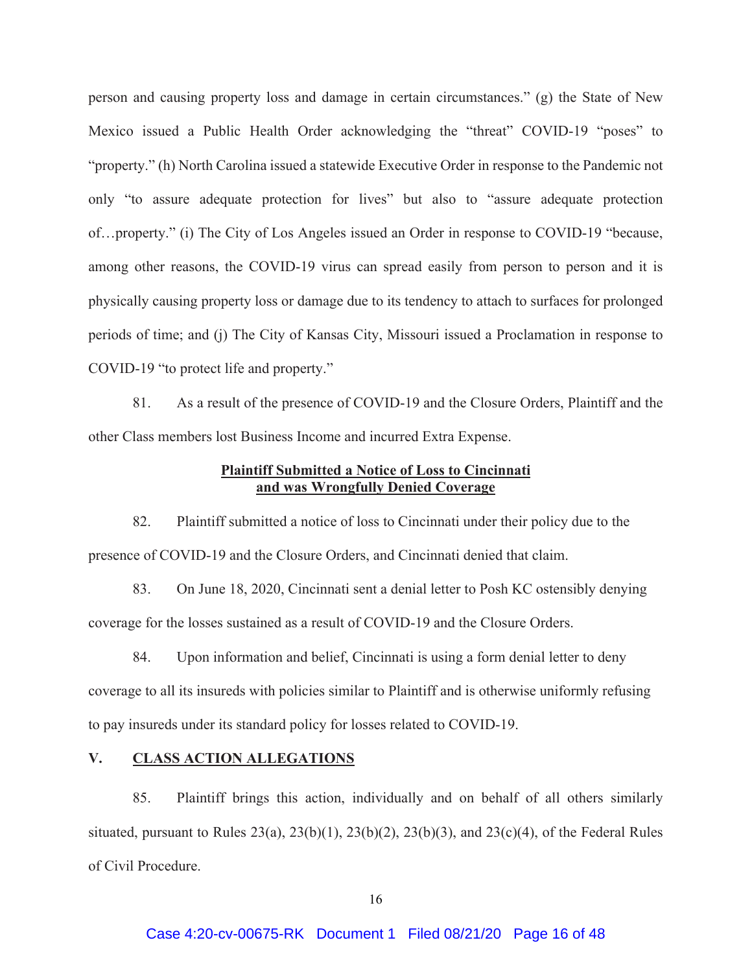person and causing property loss and damage in certain circumstances." (g) the State of New Mexico issued a Public Health Order acknowledging the "threat" COVID-19 "poses" to "property." (h) North Carolina issued a statewide Executive Order in response to the Pandemic not only "to assure adequate protection for lives" but also to "assure adequate protection of…property." (i) The City of Los Angeles issued an Order in response to COVID-19 "because, among other reasons, the COVID-19 virus can spread easily from person to person and it is physically causing property loss or damage due to its tendency to attach to surfaces for prolonged periods of time; and (j) The City of Kansas City, Missouri issued a Proclamation in response to COVID-19 "to protect life and property."

81. As a result of the presence of COVID-19 and the Closure Orders, Plaintiff and the other Class members lost Business Income and incurred Extra Expense.

# **Plaintiff Submitted a Notice of Loss to Cincinnati and was Wrongfully Denied Coverage**

82. Plaintiff submitted a notice of loss to Cincinnati under their policy due to the presence of COVID-19 and the Closure Orders, and Cincinnati denied that claim.

83. On June 18, 2020, Cincinnati sent a denial letter to Posh KC ostensibly denying coverage for the losses sustained as a result of COVID-19 and the Closure Orders.

84. Upon information and belief, Cincinnati is using a form denial letter to deny coverage to all its insureds with policies similar to Plaintiff and is otherwise uniformly refusing to pay insureds under its standard policy for losses related to COVID-19.

# **V. CLASS ACTION ALLEGATIONS**

85. Plaintiff brings this action, individually and on behalf of all others similarly situated, pursuant to Rules  $23(a)$ ,  $23(b)(1)$ ,  $23(b)(2)$ ,  $23(b)(3)$ , and  $23(c)(4)$ , of the Federal Rules of Civil Procedure.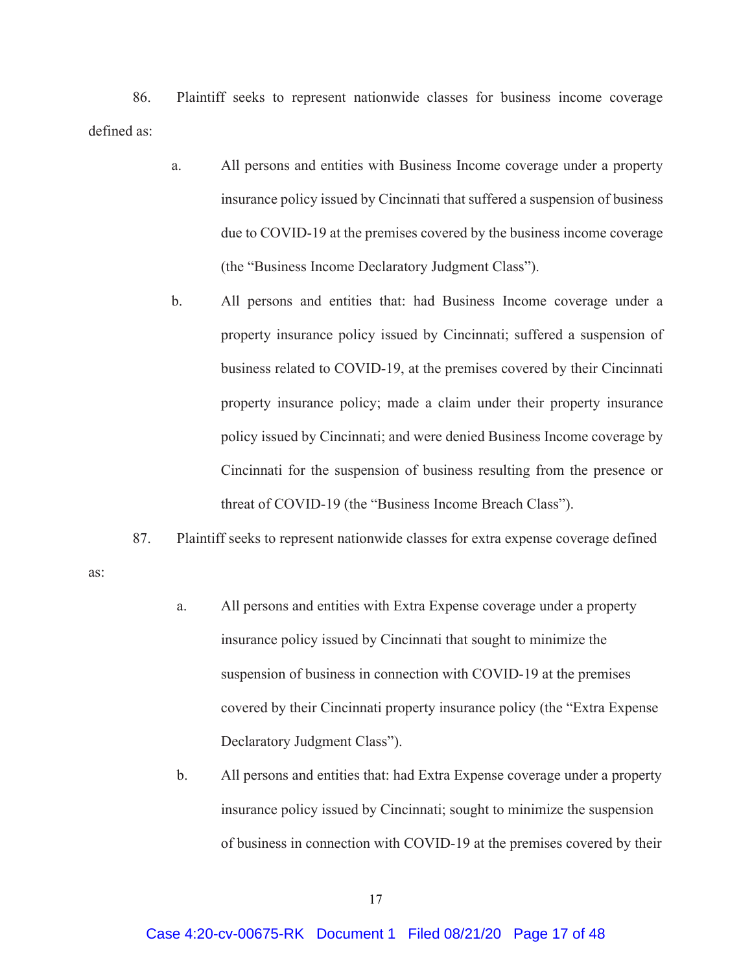86. Plaintiff seeks to represent nationwide classes for business income coverage defined as:

- a. All persons and entities with Business Income coverage under a property insurance policy issued by Cincinnati that suffered a suspension of business due to COVID-19 at the premises covered by the business income coverage (the "Business Income Declaratory Judgment Class").
- b. All persons and entities that: had Business Income coverage under a property insurance policy issued by Cincinnati; suffered a suspension of business related to COVID-19, at the premises covered by their Cincinnati property insurance policy; made a claim under their property insurance policy issued by Cincinnati; and were denied Business Income coverage by Cincinnati for the suspension of business resulting from the presence or threat of COVID-19 (the "Business Income Breach Class").
- 87. Plaintiff seeks to represent nationwide classes for extra expense coverage defined

as:

- a. All persons and entities with Extra Expense coverage under a property insurance policy issued by Cincinnati that sought to minimize the suspension of business in connection with COVID-19 at the premises covered by their Cincinnati property insurance policy (the "Extra Expense Declaratory Judgment Class").
- b. All persons and entities that: had Extra Expense coverage under a property insurance policy issued by Cincinnati; sought to minimize the suspension of business in connection with COVID-19 at the premises covered by their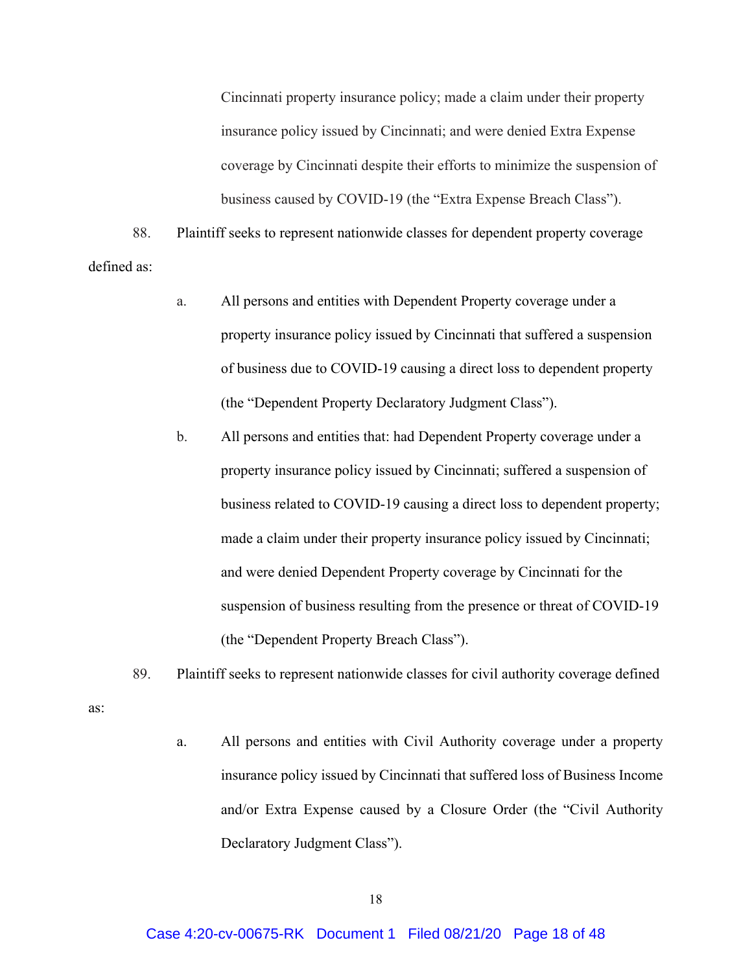Cincinnati property insurance policy; made a claim under their property insurance policy issued by Cincinnati; and were denied Extra Expense coverage by Cincinnati despite their efforts to minimize the suspension of business caused by COVID-19 (the "Extra Expense Breach Class").

88. Plaintiff seeks to represent nationwide classes for dependent property coverage defined as:

- a. All persons and entities with Dependent Property coverage under a property insurance policy issued by Cincinnati that suffered a suspension of business due to COVID-19 causing a direct loss to dependent property (the "Dependent Property Declaratory Judgment Class").
- b. All persons and entities that: had Dependent Property coverage under a property insurance policy issued by Cincinnati; suffered a suspension of business related to COVID-19 causing a direct loss to dependent property; made a claim under their property insurance policy issued by Cincinnati; and were denied Dependent Property coverage by Cincinnati for the suspension of business resulting from the presence or threat of COVID-19 (the "Dependent Property Breach Class").
- 89. Plaintiff seeks to represent nationwide classes for civil authority coverage defined

as:

a. All persons and entities with Civil Authority coverage under a property insurance policy issued by Cincinnati that suffered loss of Business Income and/or Extra Expense caused by a Closure Order (the "Civil Authority Declaratory Judgment Class").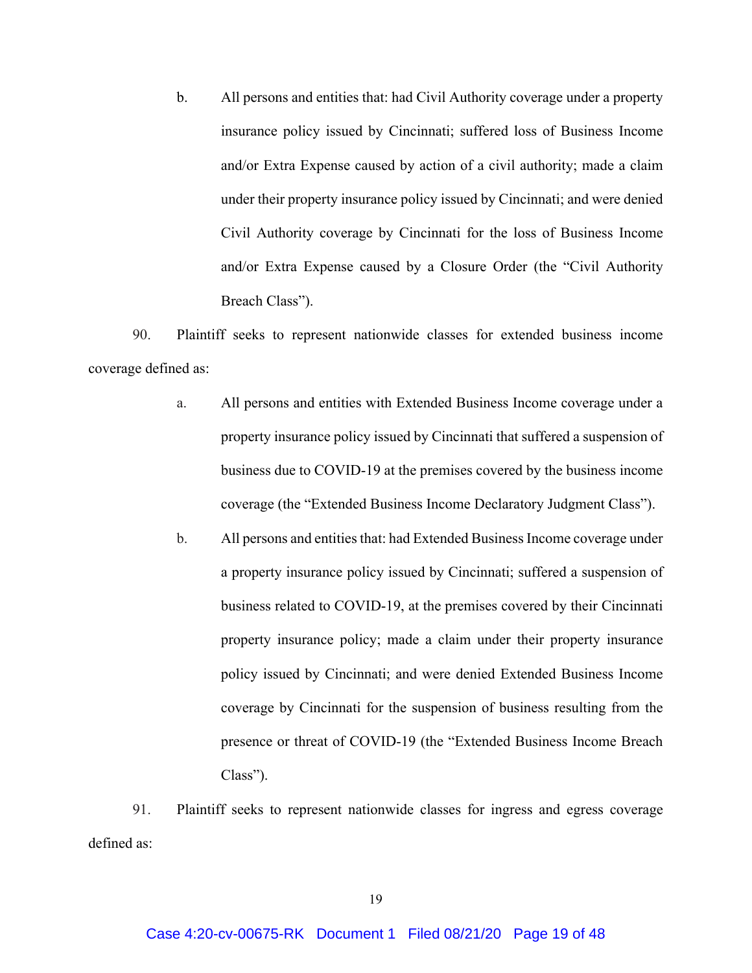b. All persons and entities that: had Civil Authority coverage under a property insurance policy issued by Cincinnati; suffered loss of Business Income and/or Extra Expense caused by action of a civil authority; made a claim under their property insurance policy issued by Cincinnati; and were denied Civil Authority coverage by Cincinnati for the loss of Business Income and/or Extra Expense caused by a Closure Order (the "Civil Authority Breach Class").

90. Plaintiff seeks to represent nationwide classes for extended business income coverage defined as:

- a. All persons and entities with Extended Business Income coverage under a property insurance policy issued by Cincinnati that suffered a suspension of business due to COVID-19 at the premises covered by the business income coverage (the "Extended Business Income Declaratory Judgment Class").
- b. All persons and entities that: had Extended Business Income coverage under a property insurance policy issued by Cincinnati; suffered a suspension of business related to COVID-19, at the premises covered by their Cincinnati property insurance policy; made a claim under their property insurance policy issued by Cincinnati; and were denied Extended Business Income coverage by Cincinnati for the suspension of business resulting from the presence or threat of COVID-19 (the "Extended Business Income Breach Class").

91. Plaintiff seeks to represent nationwide classes for ingress and egress coverage defined as: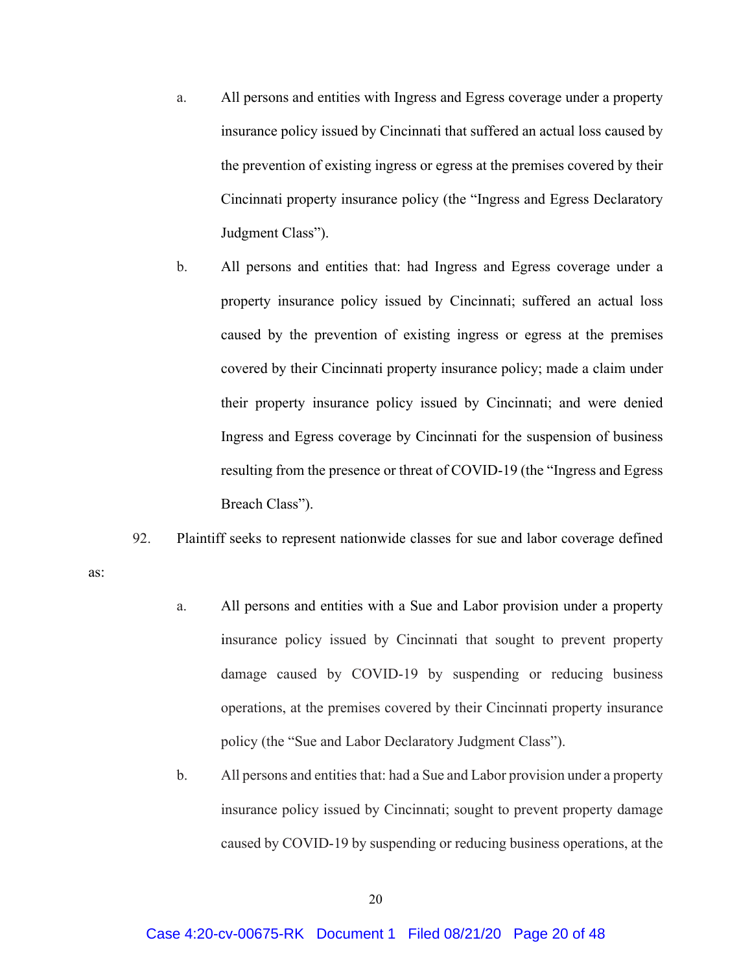- a. All persons and entities with Ingress and Egress coverage under a property insurance policy issued by Cincinnati that suffered an actual loss caused by the prevention of existing ingress or egress at the premises covered by their Cincinnati property insurance policy (the "Ingress and Egress Declaratory Judgment Class").
- b. All persons and entities that: had Ingress and Egress coverage under a property insurance policy issued by Cincinnati; suffered an actual loss caused by the prevention of existing ingress or egress at the premises covered by their Cincinnati property insurance policy; made a claim under their property insurance policy issued by Cincinnati; and were denied Ingress and Egress coverage by Cincinnati for the suspension of business resulting from the presence or threat of COVID-19 (the "Ingress and Egress Breach Class").
- 92. Plaintiff seeks to represent nationwide classes for sue and labor coverage defined

as:

- a. All persons and entities with a Sue and Labor provision under a property insurance policy issued by Cincinnati that sought to prevent property damage caused by COVID-19 by suspending or reducing business operations, at the premises covered by their Cincinnati property insurance policy (the "Sue and Labor Declaratory Judgment Class").
- b. All persons and entities that: had a Sue and Labor provision under a property insurance policy issued by Cincinnati; sought to prevent property damage caused by COVID-19 by suspending or reducing business operations, at the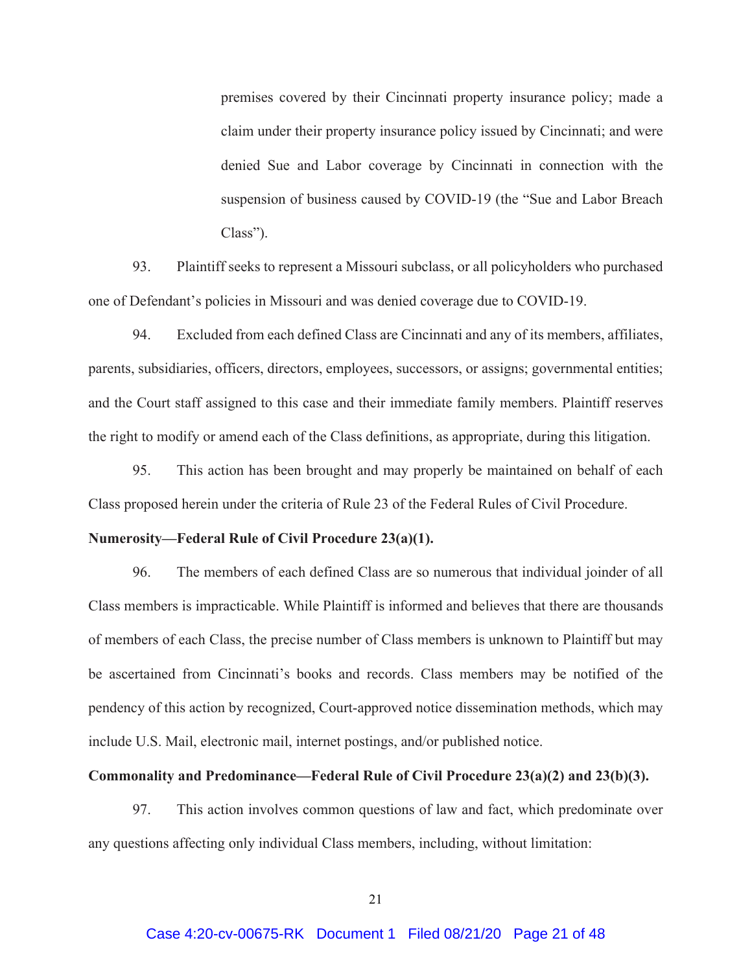premises covered by their Cincinnati property insurance policy; made a claim under their property insurance policy issued by Cincinnati; and were denied Sue and Labor coverage by Cincinnati in connection with the suspension of business caused by COVID-19 (the "Sue and Labor Breach Class").

93. Plaintiff seeks to represent a Missouri subclass, or all policyholders who purchased one of Defendant's policies in Missouri and was denied coverage due to COVID-19.

94. Excluded from each defined Class are Cincinnati and any of its members, affiliates, parents, subsidiaries, officers, directors, employees, successors, or assigns; governmental entities; and the Court staff assigned to this case and their immediate family members. Plaintiff reserves the right to modify or amend each of the Class definitions, as appropriate, during this litigation.

95. This action has been brought and may properly be maintained on behalf of each Class proposed herein under the criteria of Rule 23 of the Federal Rules of Civil Procedure.

#### **Numerosity—Federal Rule of Civil Procedure 23(a)(1).**

96. The members of each defined Class are so numerous that individual joinder of all Class members is impracticable. While Plaintiff is informed and believes that there are thousands of members of each Class, the precise number of Class members is unknown to Plaintiff but may be ascertained from Cincinnati's books and records. Class members may be notified of the pendency of this action by recognized, Court-approved notice dissemination methods, which may include U.S. Mail, electronic mail, internet postings, and/or published notice.

#### **Commonality and Predominance—Federal Rule of Civil Procedure 23(a)(2) and 23(b)(3).**

97. This action involves common questions of law and fact, which predominate over any questions affecting only individual Class members, including, without limitation: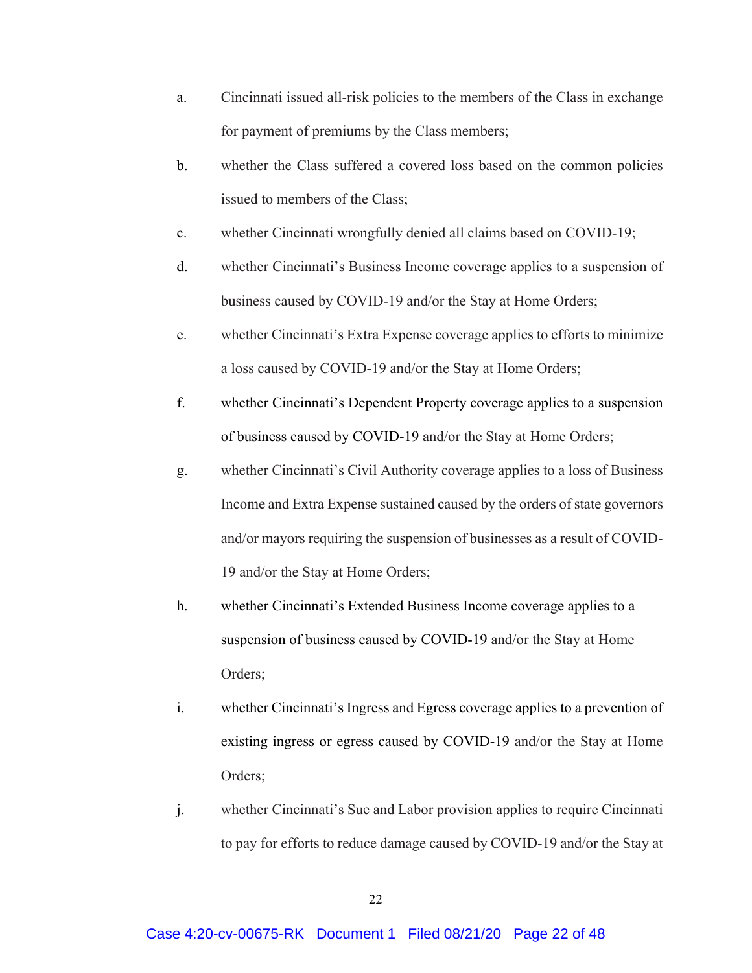- a. Cincinnati issued all-risk policies to the members of the Class in exchange for payment of premiums by the Class members;
- b. whether the Class suffered a covered loss based on the common policies issued to members of the Class;
- c. whether Cincinnati wrongfully denied all claims based on COVID-19;
- d. whether Cincinnati's Business Income coverage applies to a suspension of business caused by COVID-19 and/or the Stay at Home Orders;
- e. whether Cincinnati's Extra Expense coverage applies to efforts to minimize a loss caused by COVID-19 and/or the Stay at Home Orders;
- f. whether Cincinnati's Dependent Property coverage applies to a suspension of business caused by COVID-19 and/or the Stay at Home Orders;
- g. whether Cincinnati's Civil Authority coverage applies to a loss of Business Income and Extra Expense sustained caused by the orders of state governors and/or mayors requiring the suspension of businesses as a result of COVID-19 and/or the Stay at Home Orders;
- h. whether Cincinnati's Extended Business Income coverage applies to a suspension of business caused by COVID-19 and/or the Stay at Home Orders;
- i. whether Cincinnati's Ingress and Egress coverage applies to a prevention of existing ingress or egress caused by COVID-19 and/or the Stay at Home Orders;
- j. whether Cincinnati's Sue and Labor provision applies to require Cincinnati to pay for efforts to reduce damage caused by COVID-19 and/or the Stay at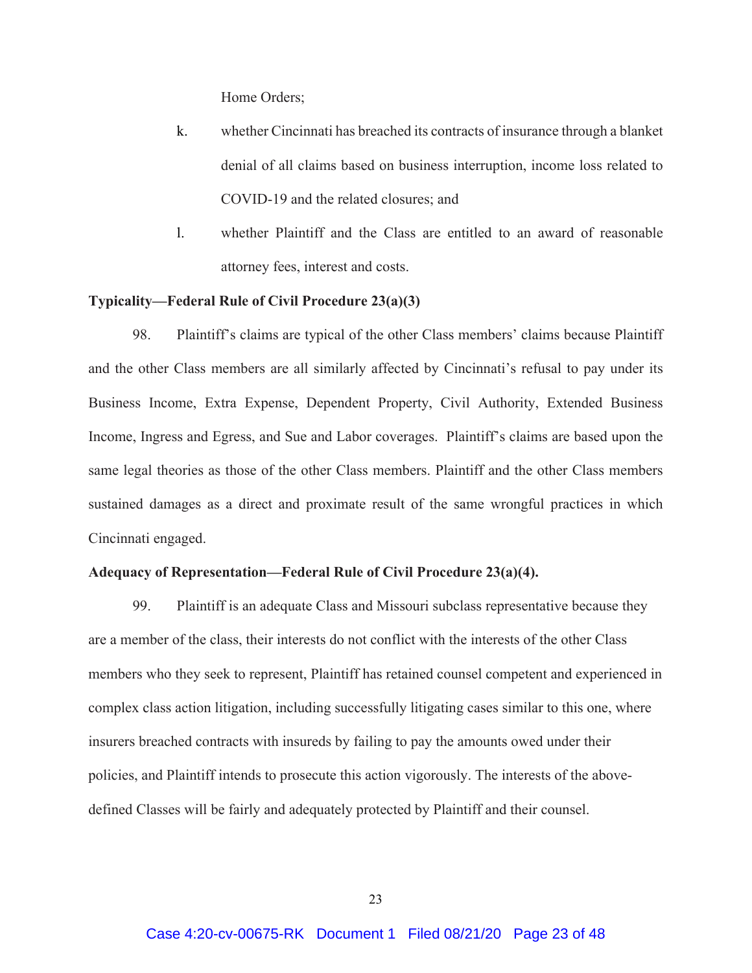Home Orders;

- k. whether Cincinnati has breached its contracts of insurance through a blanket denial of all claims based on business interruption, income loss related to COVID-19 and the related closures; and
- l. whether Plaintiff and the Class are entitled to an award of reasonable attorney fees, interest and costs.

## **Typicality—Federal Rule of Civil Procedure 23(a)(3)**

98. Plaintiff's claims are typical of the other Class members' claims because Plaintiff and the other Class members are all similarly affected by Cincinnati's refusal to pay under its Business Income, Extra Expense, Dependent Property, Civil Authority, Extended Business Income, Ingress and Egress, and Sue and Labor coverages. Plaintiff's claims are based upon the same legal theories as those of the other Class members. Plaintiff and the other Class members sustained damages as a direct and proximate result of the same wrongful practices in which Cincinnati engaged.

## **Adequacy of Representation—Federal Rule of Civil Procedure 23(a)(4).**

99. Plaintiff is an adequate Class and Missouri subclass representative because they are a member of the class, their interests do not conflict with the interests of the other Class members who they seek to represent, Plaintiff has retained counsel competent and experienced in complex class action litigation, including successfully litigating cases similar to this one, where insurers breached contracts with insureds by failing to pay the amounts owed under their policies, and Plaintiff intends to prosecute this action vigorously. The interests of the abovedefined Classes will be fairly and adequately protected by Plaintiff and their counsel.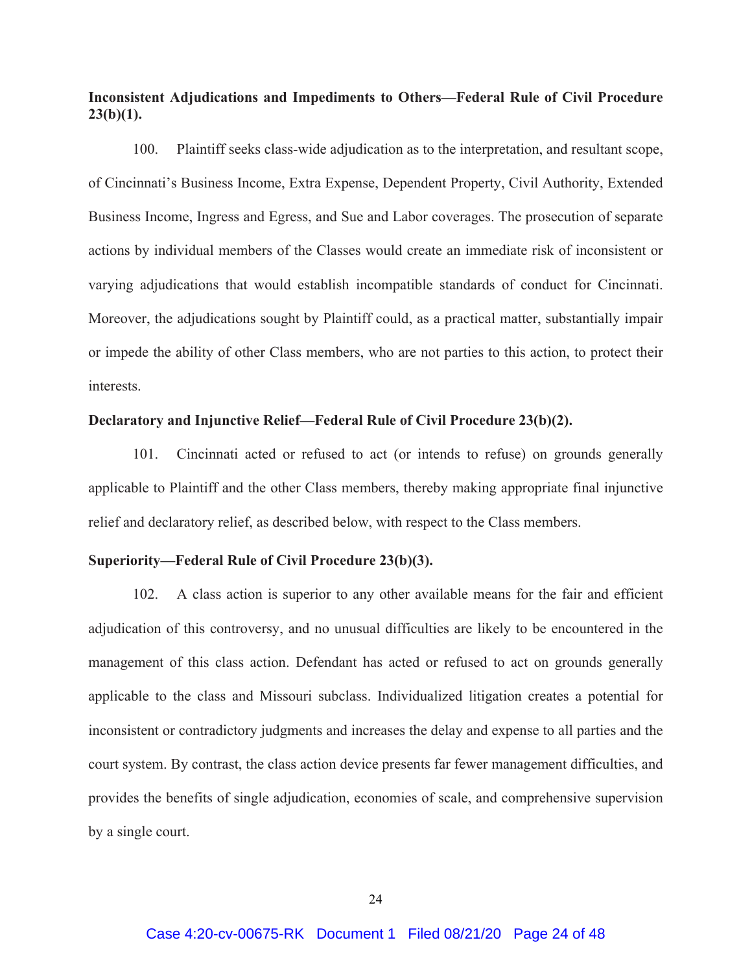**Inconsistent Adjudications and Impediments to Others—Federal Rule of Civil Procedure 23(b)(1).**

100. Plaintiff seeks class-wide adjudication as to the interpretation, and resultant scope, of Cincinnati's Business Income, Extra Expense, Dependent Property, Civil Authority, Extended Business Income, Ingress and Egress, and Sue and Labor coverages. The prosecution of separate actions by individual members of the Classes would create an immediate risk of inconsistent or varying adjudications that would establish incompatible standards of conduct for Cincinnati. Moreover, the adjudications sought by Plaintiff could, as a practical matter, substantially impair or impede the ability of other Class members, who are not parties to this action, to protect their interests.

## **Declaratory and Injunctive Relief—Federal Rule of Civil Procedure 23(b)(2).**

101. Cincinnati acted or refused to act (or intends to refuse) on grounds generally applicable to Plaintiff and the other Class members, thereby making appropriate final injunctive relief and declaratory relief, as described below, with respect to the Class members.

## **Superiority—Federal Rule of Civil Procedure 23(b)(3).**

102. A class action is superior to any other available means for the fair and efficient adjudication of this controversy, and no unusual difficulties are likely to be encountered in the management of this class action. Defendant has acted or refused to act on grounds generally applicable to the class and Missouri subclass. Individualized litigation creates a potential for inconsistent or contradictory judgments and increases the delay and expense to all parties and the court system. By contrast, the class action device presents far fewer management difficulties, and provides the benefits of single adjudication, economies of scale, and comprehensive supervision by a single court.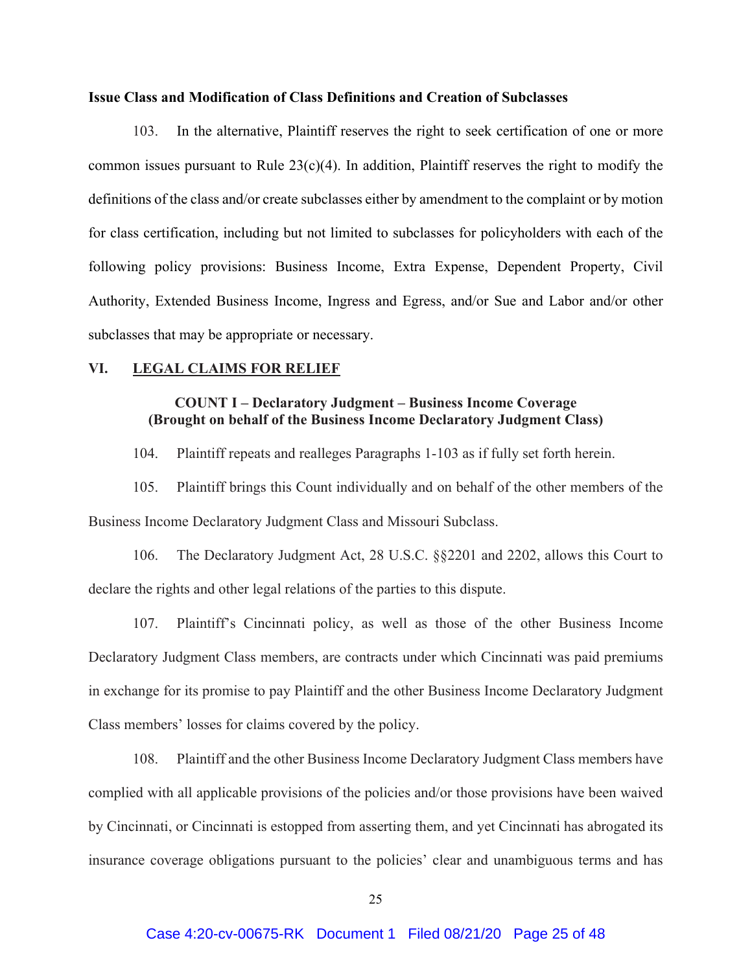#### **Issue Class and Modification of Class Definitions and Creation of Subclasses**

103. In the alternative, Plaintiff reserves the right to seek certification of one or more common issues pursuant to Rule  $23(c)(4)$ . In addition, Plaintiff reserves the right to modify the definitions of the class and/or create subclasses either by amendment to the complaint or by motion for class certification, including but not limited to subclasses for policyholders with each of the following policy provisions: Business Income, Extra Expense, Dependent Property, Civil Authority, Extended Business Income, Ingress and Egress, and/or Sue and Labor and/or other subclasses that may be appropriate or necessary.

## **VI. LEGAL CLAIMS FOR RELIEF**

# **COUNT I – Declaratory Judgment – Business Income Coverage (Brought on behalf of the Business Income Declaratory Judgment Class)**

104. Plaintiff repeats and realleges Paragraphs 1-103 as if fully set forth herein.

105. Plaintiff brings this Count individually and on behalf of the other members of the Business Income Declaratory Judgment Class and Missouri Subclass.

106. The Declaratory Judgment Act, 28 U.S.C. §§2201 and 2202, allows this Court to declare the rights and other legal relations of the parties to this dispute.

107. Plaintiff's Cincinnati policy, as well as those of the other Business Income Declaratory Judgment Class members, are contracts under which Cincinnati was paid premiums in exchange for its promise to pay Plaintiff and the other Business Income Declaratory Judgment Class members' losses for claims covered by the policy.

108. Plaintiff and the other Business Income Declaratory Judgment Class members have complied with all applicable provisions of the policies and/or those provisions have been waived by Cincinnati, or Cincinnati is estopped from asserting them, and yet Cincinnati has abrogated its insurance coverage obligations pursuant to the policies' clear and unambiguous terms and has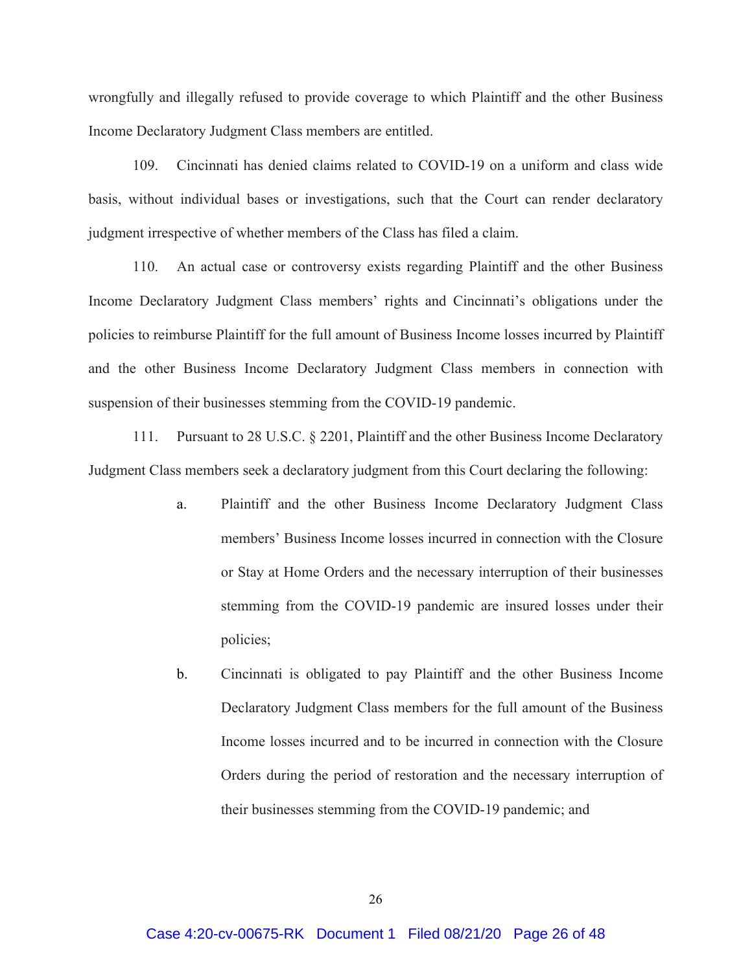wrongfully and illegally refused to provide coverage to which Plaintiff and the other Business Income Declaratory Judgment Class members are entitled.

109. Cincinnati has denied claims related to COVID-19 on a uniform and class wide basis, without individual bases or investigations, such that the Court can render declaratory judgment irrespective of whether members of the Class has filed a claim.

110. An actual case or controversy exists regarding Plaintiff and the other Business Income Declaratory Judgment Class members' rights and Cincinnati's obligations under the policies to reimburse Plaintiff for the full amount of Business Income losses incurred by Plaintiff and the other Business Income Declaratory Judgment Class members in connection with suspension of their businesses stemming from the COVID-19 pandemic.

111. Pursuant to 28 U.S.C. § 2201, Plaintiff and the other Business Income Declaratory Judgment Class members seek a declaratory judgment from this Court declaring the following:

- a. Plaintiff and the other Business Income Declaratory Judgment Class members' Business Income losses incurred in connection with the Closure or Stay at Home Orders and the necessary interruption of their businesses stemming from the COVID-19 pandemic are insured losses under their policies;
- b. Cincinnati is obligated to pay Plaintiff and the other Business Income Declaratory Judgment Class members for the full amount of the Business Income losses incurred and to be incurred in connection with the Closure Orders during the period of restoration and the necessary interruption of their businesses stemming from the COVID-19 pandemic; and

26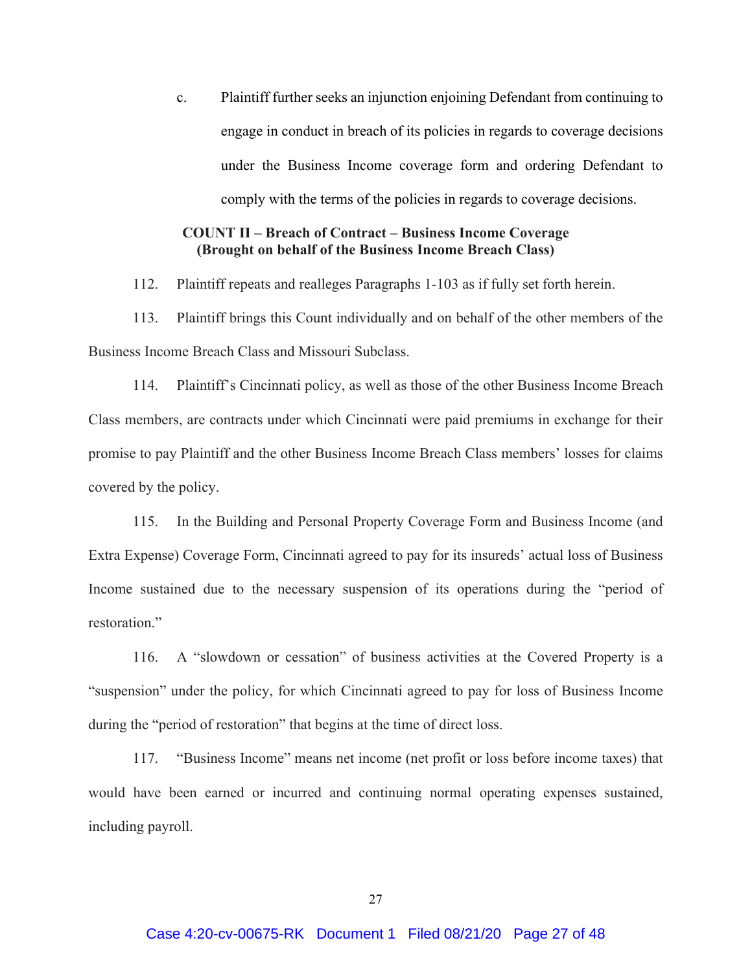c. Plaintiff further seeks an injunction enjoining Defendant from continuing to engage in conduct in breach of its policies in regards to coverage decisions under the Business Income coverage form and ordering Defendant to comply with the terms of the policies in regards to coverage decisions.

# **COUNT II – Breach of Contract – Business Income Coverage (Brought on behalf of the Business Income Breach Class)**

112. Plaintiff repeats and realleges Paragraphs 1-103 as if fully set forth herein.

113. Plaintiff brings this Count individually and on behalf of the other members of the Business Income Breach Class and Missouri Subclass.

114. Plaintiff's Cincinnati policy, as well as those of the other Business Income Breach Class members, are contracts under which Cincinnati were paid premiums in exchange for their promise to pay Plaintiff and the other Business Income Breach Class members' losses for claims covered by the policy.

115. In the Building and Personal Property Coverage Form and Business Income (and Extra Expense) Coverage Form, Cincinnati agreed to pay for its insureds' actual loss of Business Income sustained due to the necessary suspension of its operations during the "period of restoration."

116. A "slowdown or cessation" of business activities at the Covered Property is a "suspension" under the policy, for which Cincinnati agreed to pay for loss of Business Income during the "period of restoration" that begins at the time of direct loss.

117. "Business Income" means net income (net profit or loss before income taxes) that would have been earned or incurred and continuing normal operating expenses sustained, including payroll.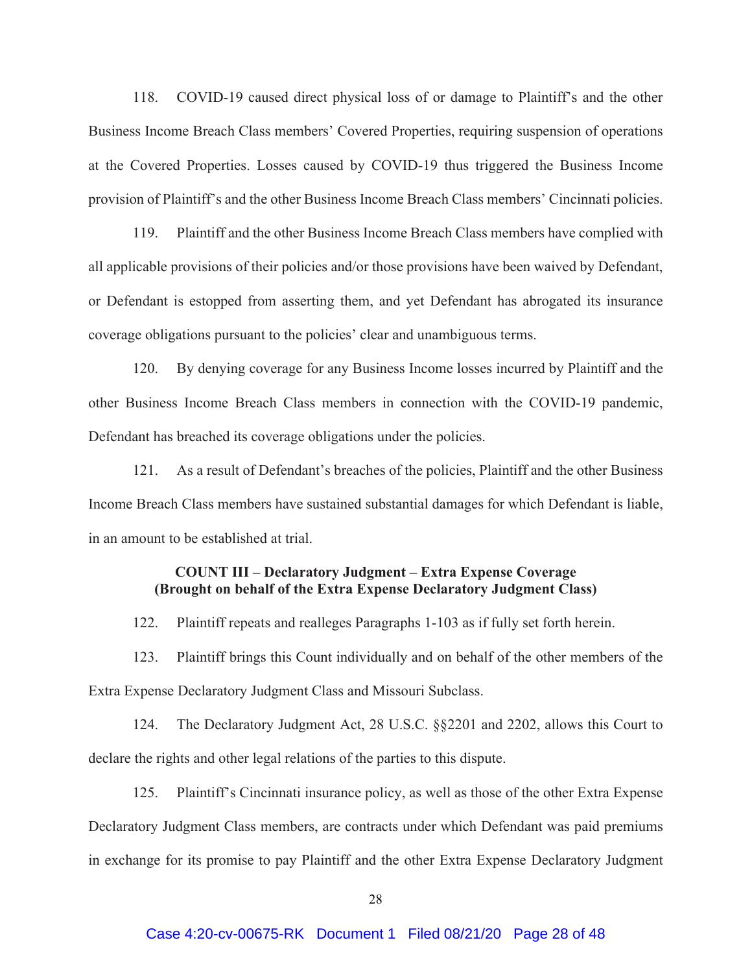118. COVID-19 caused direct physical loss of or damage to Plaintiff's and the other Business Income Breach Class members' Covered Properties, requiring suspension of operations at the Covered Properties. Losses caused by COVID-19 thus triggered the Business Income provision of Plaintiff's and the other Business Income Breach Class members' Cincinnati policies.

119. Plaintiff and the other Business Income Breach Class members have complied with all applicable provisions of their policies and/or those provisions have been waived by Defendant, or Defendant is estopped from asserting them, and yet Defendant has abrogated its insurance coverage obligations pursuant to the policies' clear and unambiguous terms.

120. By denying coverage for any Business Income losses incurred by Plaintiff and the other Business Income Breach Class members in connection with the COVID-19 pandemic, Defendant has breached its coverage obligations under the policies.

121. As a result of Defendant's breaches of the policies, Plaintiff and the other Business Income Breach Class members have sustained substantial damages for which Defendant is liable, in an amount to be established at trial.

# **COUNT III – Declaratory Judgment – Extra Expense Coverage (Brought on behalf of the Extra Expense Declaratory Judgment Class)**

122. Plaintiff repeats and realleges Paragraphs 1-103 as if fully set forth herein.

123. Plaintiff brings this Count individually and on behalf of the other members of the Extra Expense Declaratory Judgment Class and Missouri Subclass.

124. The Declaratory Judgment Act, 28 U.S.C. §§2201 and 2202, allows this Court to declare the rights and other legal relations of the parties to this dispute.

125. Plaintiff's Cincinnati insurance policy, as well as those of the other Extra Expense Declaratory Judgment Class members, are contracts under which Defendant was paid premiums in exchange for its promise to pay Plaintiff and the other Extra Expense Declaratory Judgment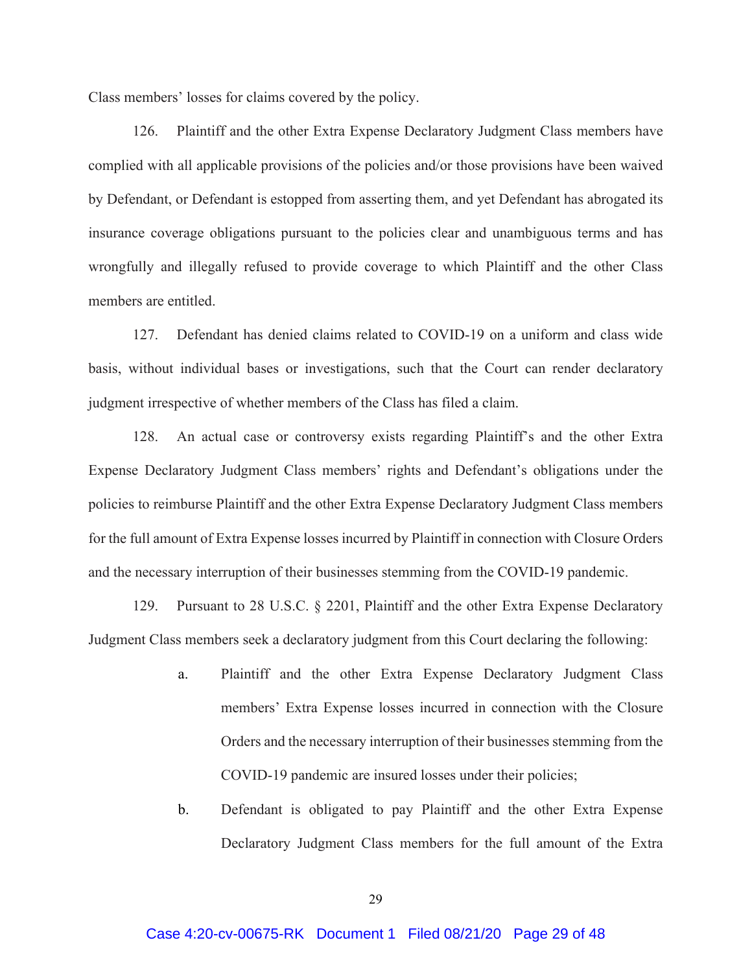Class members' losses for claims covered by the policy.

126. Plaintiff and the other Extra Expense Declaratory Judgment Class members have complied with all applicable provisions of the policies and/or those provisions have been waived by Defendant, or Defendant is estopped from asserting them, and yet Defendant has abrogated its insurance coverage obligations pursuant to the policies clear and unambiguous terms and has wrongfully and illegally refused to provide coverage to which Plaintiff and the other Class members are entitled.

127. Defendant has denied claims related to COVID-19 on a uniform and class wide basis, without individual bases or investigations, such that the Court can render declaratory judgment irrespective of whether members of the Class has filed a claim.

128. An actual case or controversy exists regarding Plaintiff's and the other Extra Expense Declaratory Judgment Class members' rights and Defendant's obligations under the policies to reimburse Plaintiff and the other Extra Expense Declaratory Judgment Class members for the full amount of Extra Expense losses incurred by Plaintiff in connection with Closure Orders and the necessary interruption of their businesses stemming from the COVID-19 pandemic.

129. Pursuant to 28 U.S.C. § 2201, Plaintiff and the other Extra Expense Declaratory Judgment Class members seek a declaratory judgment from this Court declaring the following:

- a. Plaintiff and the other Extra Expense Declaratory Judgment Class members' Extra Expense losses incurred in connection with the Closure Orders and the necessary interruption of their businesses stemming from the COVID-19 pandemic are insured losses under their policies;
- b. Defendant is obligated to pay Plaintiff and the other Extra Expense Declaratory Judgment Class members for the full amount of the Extra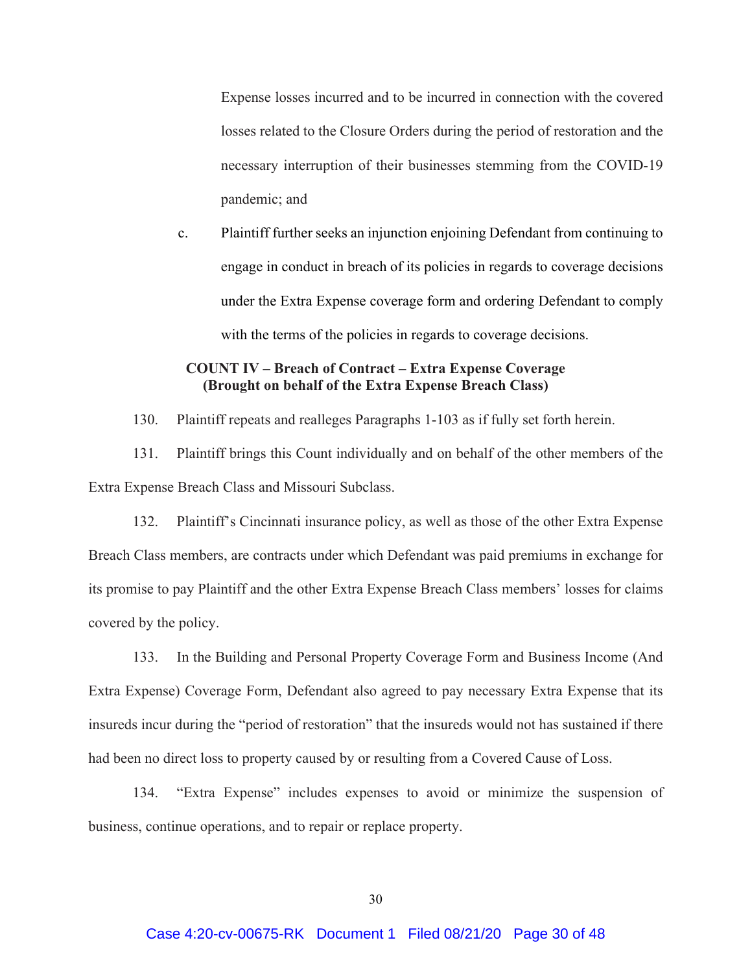Expense losses incurred and to be incurred in connection with the covered losses related to the Closure Orders during the period of restoration and the necessary interruption of their businesses stemming from the COVID-19 pandemic; and

c. Plaintiff further seeks an injunction enjoining Defendant from continuing to engage in conduct in breach of its policies in regards to coverage decisions under the Extra Expense coverage form and ordering Defendant to comply with the terms of the policies in regards to coverage decisions.

# **COUNT IV – Breach of Contract – Extra Expense Coverage (Brought on behalf of the Extra Expense Breach Class)**

130. Plaintiff repeats and realleges Paragraphs 1-103 as if fully set forth herein.

131. Plaintiff brings this Count individually and on behalf of the other members of the Extra Expense Breach Class and Missouri Subclass.

132. Plaintiff's Cincinnati insurance policy, as well as those of the other Extra Expense Breach Class members, are contracts under which Defendant was paid premiums in exchange for its promise to pay Plaintiff and the other Extra Expense Breach Class members' losses for claims covered by the policy.

133. In the Building and Personal Property Coverage Form and Business Income (And Extra Expense) Coverage Form, Defendant also agreed to pay necessary Extra Expense that its insureds incur during the "period of restoration" that the insureds would not has sustained if there had been no direct loss to property caused by or resulting from a Covered Cause of Loss.

134. "Extra Expense" includes expenses to avoid or minimize the suspension of business, continue operations, and to repair or replace property.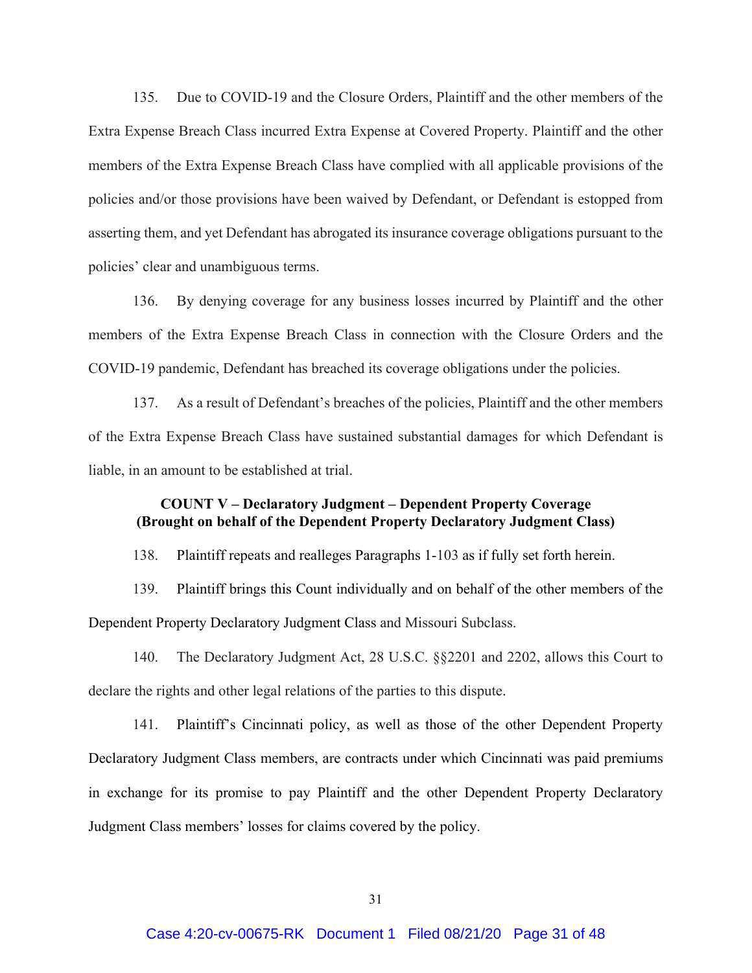135. Due to COVID-19 and the Closure Orders, Plaintiff and the other members of the Extra Expense Breach Class incurred Extra Expense at Covered Property. Plaintiff and the other members of the Extra Expense Breach Class have complied with all applicable provisions of the policies and/or those provisions have been waived by Defendant, or Defendant is estopped from asserting them, and yet Defendant has abrogated its insurance coverage obligations pursuant to the policies' clear and unambiguous terms.

136. By denying coverage for any business losses incurred by Plaintiff and the other members of the Extra Expense Breach Class in connection with the Closure Orders and the COVID-19 pandemic, Defendant has breached its coverage obligations under the policies.

137. As a result of Defendant's breaches of the policies, Plaintiff and the other members of the Extra Expense Breach Class have sustained substantial damages for which Defendant is liable, in an amount to be established at trial.

# **COUNT V – Declaratory Judgment – Dependent Property Coverage (Brought on behalf of the Dependent Property Declaratory Judgment Class)**

138. Plaintiff repeats and realleges Paragraphs 1-103 as if fully set forth herein.

139. Plaintiff brings this Count individually and on behalf of the other members of the Dependent Property Declaratory Judgment Class and Missouri Subclass.

140. The Declaratory Judgment Act, 28 U.S.C. §§2201 and 2202, allows this Court to declare the rights and other legal relations of the parties to this dispute.

141. Plaintiff's Cincinnati policy, as well as those of the other Dependent Property Declaratory Judgment Class members, are contracts under which Cincinnati was paid premiums in exchange for its promise to pay Plaintiff and the other Dependent Property Declaratory Judgment Class members' losses for claims covered by the policy.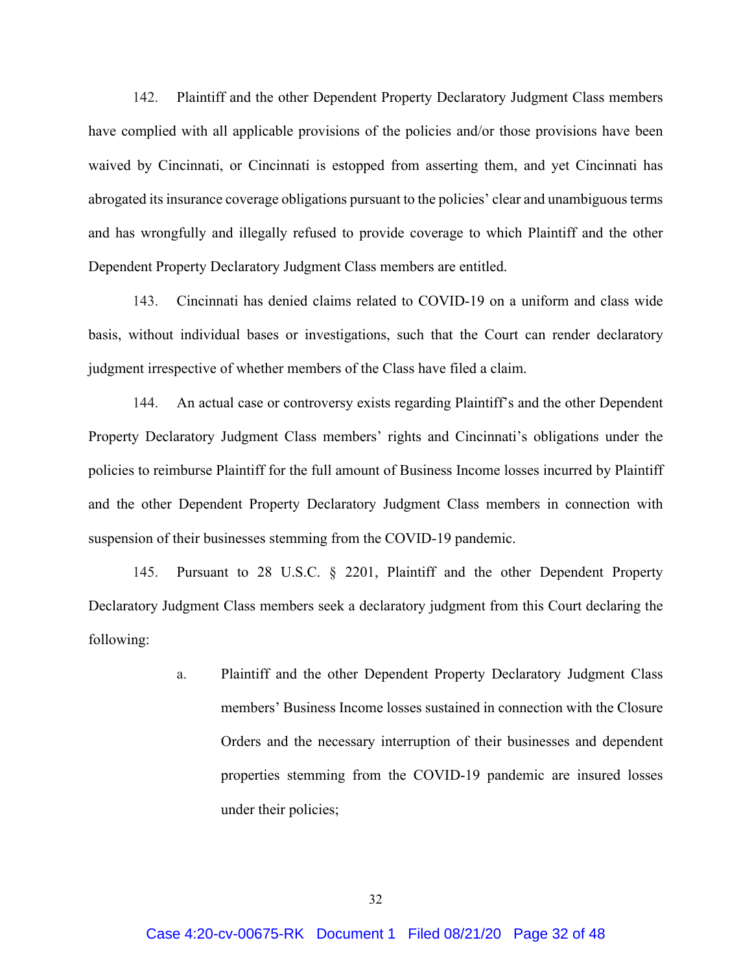142. Plaintiff and the other Dependent Property Declaratory Judgment Class members have complied with all applicable provisions of the policies and/or those provisions have been waived by Cincinnati, or Cincinnati is estopped from asserting them, and yet Cincinnati has abrogated its insurance coverage obligations pursuant to the policies' clear and unambiguous terms and has wrongfully and illegally refused to provide coverage to which Plaintiff and the other Dependent Property Declaratory Judgment Class members are entitled.

143. Cincinnati has denied claims related to COVID-19 on a uniform and class wide basis, without individual bases or investigations, such that the Court can render declaratory judgment irrespective of whether members of the Class have filed a claim.

144. An actual case or controversy exists regarding Plaintiff's and the other Dependent Property Declaratory Judgment Class members' rights and Cincinnati's obligations under the policies to reimburse Plaintiff for the full amount of Business Income losses incurred by Plaintiff and the other Dependent Property Declaratory Judgment Class members in connection with suspension of their businesses stemming from the COVID-19 pandemic.

145. Pursuant to 28 U.S.C. § 2201, Plaintiff and the other Dependent Property Declaratory Judgment Class members seek a declaratory judgment from this Court declaring the following:

> a. Plaintiff and the other Dependent Property Declaratory Judgment Class members' Business Income losses sustained in connection with the Closure Orders and the necessary interruption of their businesses and dependent properties stemming from the COVID-19 pandemic are insured losses under their policies;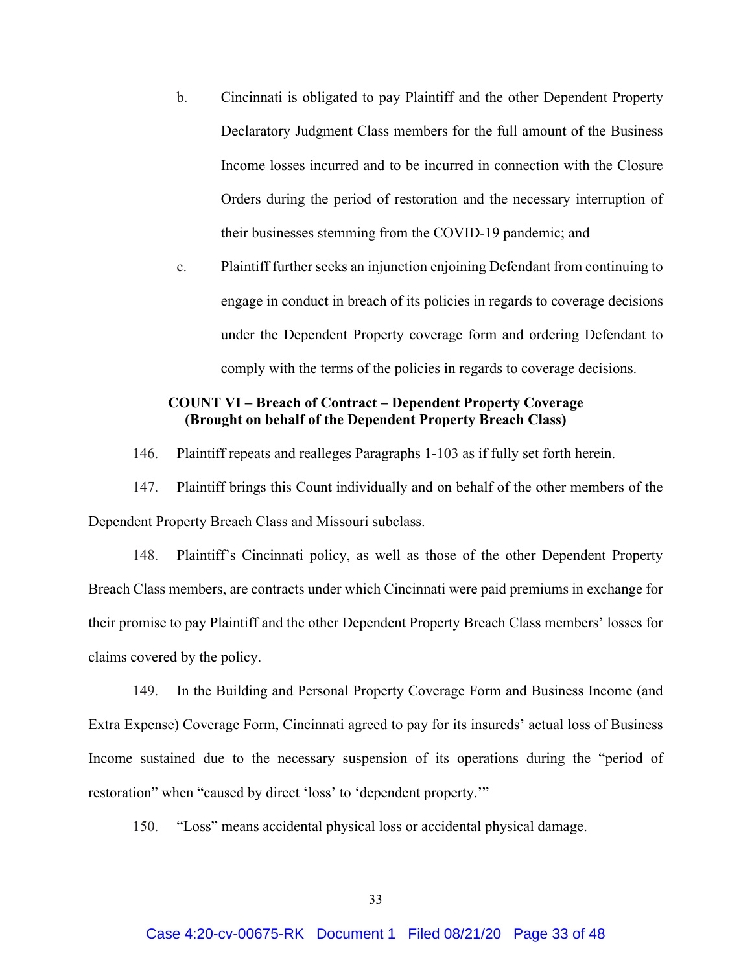- b. Cincinnati is obligated to pay Plaintiff and the other Dependent Property Declaratory Judgment Class members for the full amount of the Business Income losses incurred and to be incurred in connection with the Closure Orders during the period of restoration and the necessary interruption of their businesses stemming from the COVID-19 pandemic; and
- c. Plaintiff further seeks an injunction enjoining Defendant from continuing to engage in conduct in breach of its policies in regards to coverage decisions under the Dependent Property coverage form and ordering Defendant to comply with the terms of the policies in regards to coverage decisions.

# **COUNT VI – Breach of Contract – Dependent Property Coverage (Brought on behalf of the Dependent Property Breach Class)**

146. Plaintiff repeats and realleges Paragraphs 1-103 as if fully set forth herein.

147. Plaintiff brings this Count individually and on behalf of the other members of the Dependent Property Breach Class and Missouri subclass.

148. Plaintiff's Cincinnati policy, as well as those of the other Dependent Property Breach Class members, are contracts under which Cincinnati were paid premiums in exchange for their promise to pay Plaintiff and the other Dependent Property Breach Class members' losses for claims covered by the policy.

149. In the Building and Personal Property Coverage Form and Business Income (and Extra Expense) Coverage Form, Cincinnati agreed to pay for its insureds' actual loss of Business Income sustained due to the necessary suspension of its operations during the "period of restoration" when "caused by direct 'loss' to 'dependent property.'"

150. "Loss" means accidental physical loss or accidental physical damage.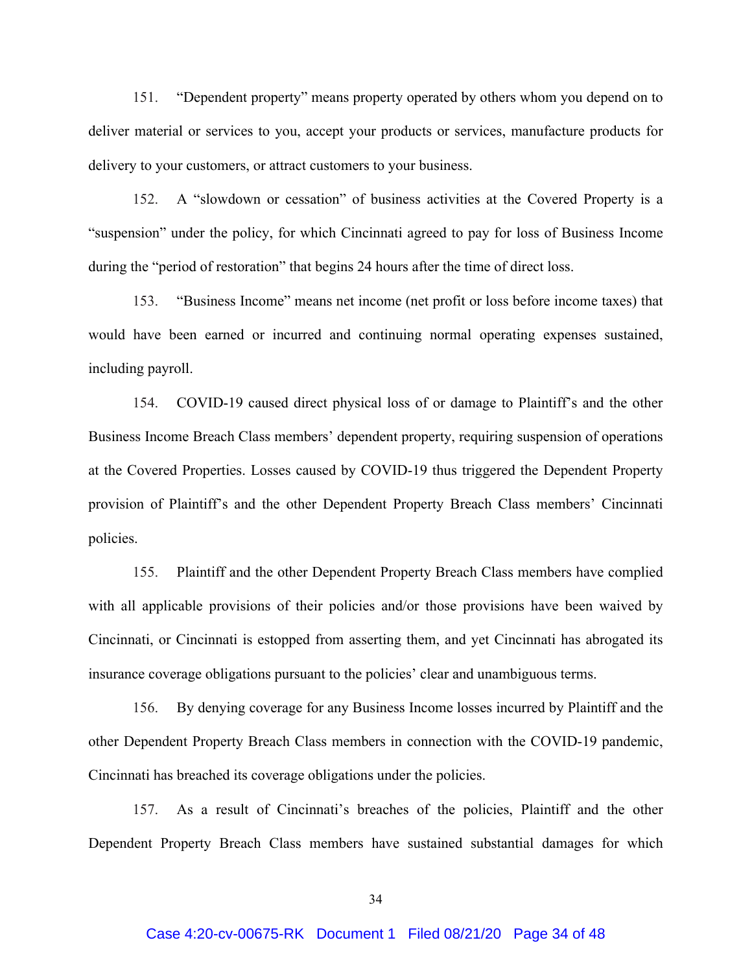151. "Dependent property" means property operated by others whom you depend on to deliver material or services to you, accept your products or services, manufacture products for delivery to your customers, or attract customers to your business.

152. A "slowdown or cessation" of business activities at the Covered Property is a "suspension" under the policy, for which Cincinnati agreed to pay for loss of Business Income during the "period of restoration" that begins 24 hours after the time of direct loss.

153. "Business Income" means net income (net profit or loss before income taxes) that would have been earned or incurred and continuing normal operating expenses sustained, including payroll.

154. COVID-19 caused direct physical loss of or damage to Plaintiff's and the other Business Income Breach Class members' dependent property, requiring suspension of operations at the Covered Properties. Losses caused by COVID-19 thus triggered the Dependent Property provision of Plaintiff's and the other Dependent Property Breach Class members' Cincinnati policies.

155. Plaintiff and the other Dependent Property Breach Class members have complied with all applicable provisions of their policies and/or those provisions have been waived by Cincinnati, or Cincinnati is estopped from asserting them, and yet Cincinnati has abrogated its insurance coverage obligations pursuant to the policies' clear and unambiguous terms.

156. By denying coverage for any Business Income losses incurred by Plaintiff and the other Dependent Property Breach Class members in connection with the COVID-19 pandemic, Cincinnati has breached its coverage obligations under the policies.

157. As a result of Cincinnati's breaches of the policies, Plaintiff and the other Dependent Property Breach Class members have sustained substantial damages for which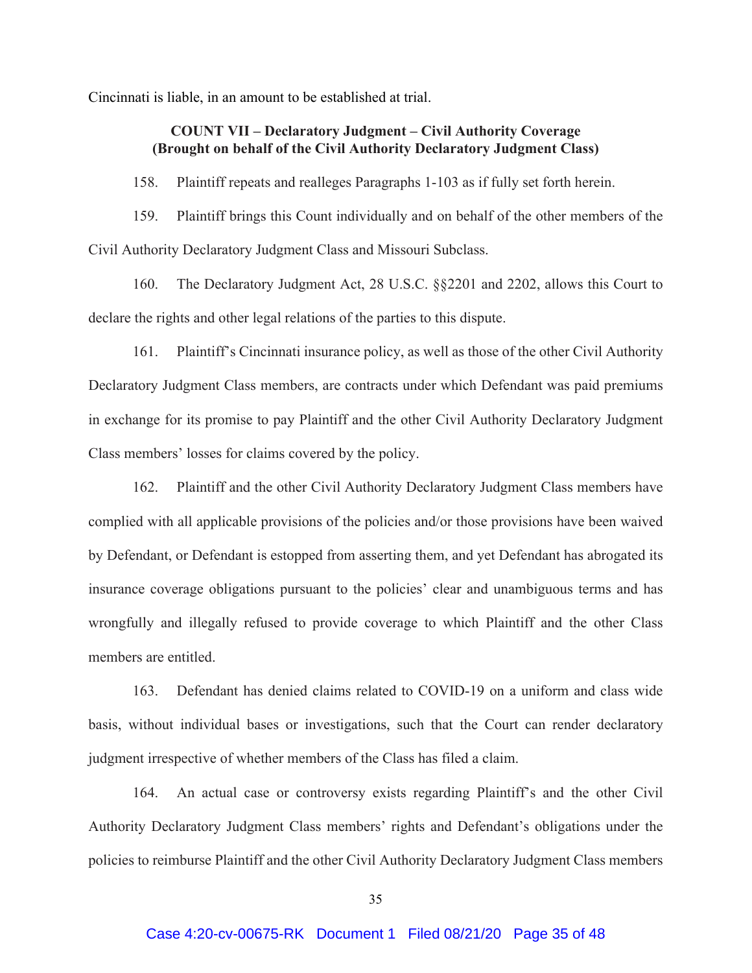Cincinnati is liable, in an amount to be established at trial.

## **COUNT VII – Declaratory Judgment – Civil Authority Coverage (Brought on behalf of the Civil Authority Declaratory Judgment Class)**

158. Plaintiff repeats and realleges Paragraphs 1-103 as if fully set forth herein.

159. Plaintiff brings this Count individually and on behalf of the other members of the Civil Authority Declaratory Judgment Class and Missouri Subclass.

160. The Declaratory Judgment Act, 28 U.S.C. §§2201 and 2202, allows this Court to declare the rights and other legal relations of the parties to this dispute.

161. Plaintiff's Cincinnati insurance policy, as well as those of the other Civil Authority Declaratory Judgment Class members, are contracts under which Defendant was paid premiums in exchange for its promise to pay Plaintiff and the other Civil Authority Declaratory Judgment Class members' losses for claims covered by the policy.

162. Plaintiff and the other Civil Authority Declaratory Judgment Class members have complied with all applicable provisions of the policies and/or those provisions have been waived by Defendant, or Defendant is estopped from asserting them, and yet Defendant has abrogated its insurance coverage obligations pursuant to the policies' clear and unambiguous terms and has wrongfully and illegally refused to provide coverage to which Plaintiff and the other Class members are entitled.

163. Defendant has denied claims related to COVID-19 on a uniform and class wide basis, without individual bases or investigations, such that the Court can render declaratory judgment irrespective of whether members of the Class has filed a claim.

164. An actual case or controversy exists regarding Plaintiff's and the other Civil Authority Declaratory Judgment Class members' rights and Defendant's obligations under the policies to reimburse Plaintiff and the other Civil Authority Declaratory Judgment Class members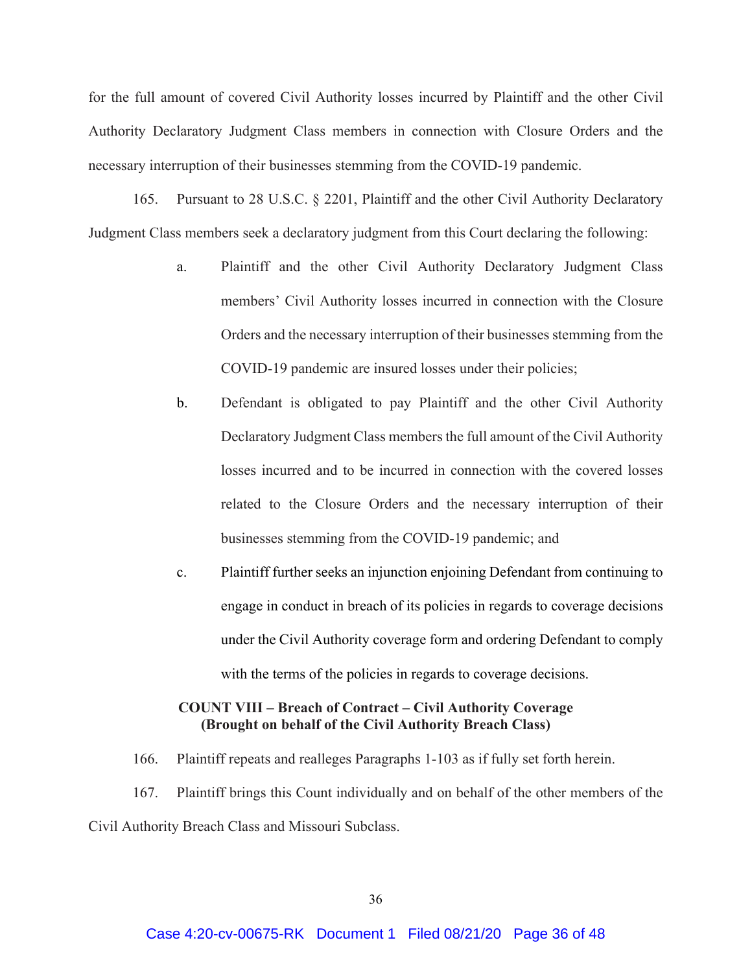for the full amount of covered Civil Authority losses incurred by Plaintiff and the other Civil Authority Declaratory Judgment Class members in connection with Closure Orders and the necessary interruption of their businesses stemming from the COVID-19 pandemic.

165. Pursuant to 28 U.S.C. § 2201, Plaintiff and the other Civil Authority Declaratory Judgment Class members seek a declaratory judgment from this Court declaring the following:

- a. Plaintiff and the other Civil Authority Declaratory Judgment Class members' Civil Authority losses incurred in connection with the Closure Orders and the necessary interruption of their businesses stemming from the COVID-19 pandemic are insured losses under their policies;
- b. Defendant is obligated to pay Plaintiff and the other Civil Authority Declaratory Judgment Class members the full amount of the Civil Authority losses incurred and to be incurred in connection with the covered losses related to the Closure Orders and the necessary interruption of their businesses stemming from the COVID-19 pandemic; and
- c. Plaintiff further seeks an injunction enjoining Defendant from continuing to engage in conduct in breach of its policies in regards to coverage decisions under the Civil Authority coverage form and ordering Defendant to comply with the terms of the policies in regards to coverage decisions.

# **COUNT VIII – Breach of Contract – Civil Authority Coverage (Brought on behalf of the Civil Authority Breach Class)**

166. Plaintiff repeats and realleges Paragraphs 1-103 as if fully set forth herein.

167. Plaintiff brings this Count individually and on behalf of the other members of the Civil Authority Breach Class and Missouri Subclass.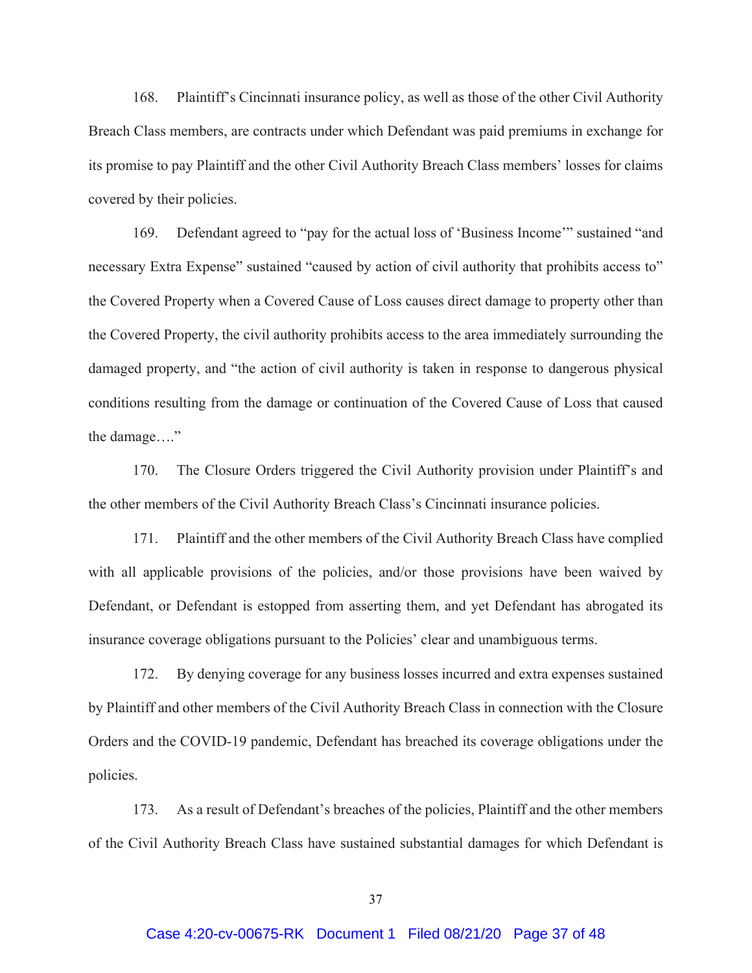168. Plaintiff's Cincinnati insurance policy, as well as those of the other Civil Authority Breach Class members, are contracts under which Defendant was paid premiums in exchange for its promise to pay Plaintiff and the other Civil Authority Breach Class members' losses for claims covered by their policies.

169. Defendant agreed to "pay for the actual loss of 'Business Income'" sustained "and necessary Extra Expense" sustained "caused by action of civil authority that prohibits access to" the Covered Property when a Covered Cause of Loss causes direct damage to property other than the Covered Property, the civil authority prohibits access to the area immediately surrounding the damaged property, and "the action of civil authority is taken in response to dangerous physical conditions resulting from the damage or continuation of the Covered Cause of Loss that caused the damage…."

170. The Closure Orders triggered the Civil Authority provision under Plaintiff's and the other members of the Civil Authority Breach Class's Cincinnati insurance policies.

171. Plaintiff and the other members of the Civil Authority Breach Class have complied with all applicable provisions of the policies, and/or those provisions have been waived by Defendant, or Defendant is estopped from asserting them, and yet Defendant has abrogated its insurance coverage obligations pursuant to the Policies' clear and unambiguous terms.

172. By denying coverage for any business losses incurred and extra expenses sustained by Plaintiff and other members of the Civil Authority Breach Class in connection with the Closure Orders and the COVID-19 pandemic, Defendant has breached its coverage obligations under the policies.

173. As a result of Defendant's breaches of the policies, Plaintiff and the other members of the Civil Authority Breach Class have sustained substantial damages for which Defendant is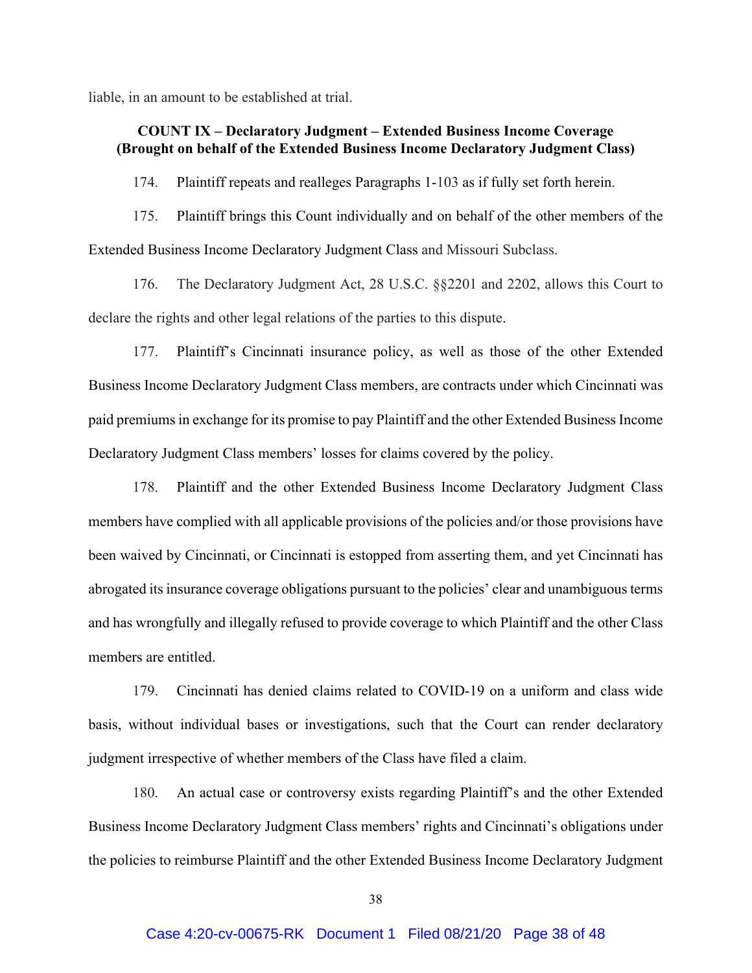liable, in an amount to be established at trial.

# **COUNT IX – Declaratory Judgment – Extended Business Income Coverage (Brought on behalf of the Extended Business Income Declaratory Judgment Class)**

174. Plaintiff repeats and realleges Paragraphs 1-103 as if fully set forth herein.

175. Plaintiff brings this Count individually and on behalf of the other members of the Extended Business Income Declaratory Judgment Class and Missouri Subclass.

176. The Declaratory Judgment Act, 28 U.S.C. §§2201 and 2202, allows this Court to declare the rights and other legal relations of the parties to this dispute.

177. Plaintiff's Cincinnati insurance policy, as well as those of the other Extended Business Income Declaratory Judgment Class members, are contracts under which Cincinnati was paid premiums in exchange for its promise to pay Plaintiff and the other Extended Business Income Declaratory Judgment Class members' losses for claims covered by the policy.

178. Plaintiff and the other Extended Business Income Declaratory Judgment Class members have complied with all applicable provisions of the policies and/or those provisions have been waived by Cincinnati, or Cincinnati is estopped from asserting them, and yet Cincinnati has abrogated its insurance coverage obligations pursuant to the policies' clear and unambiguous terms and has wrongfully and illegally refused to provide coverage to which Plaintiff and the other Class members are entitled.

179. Cincinnati has denied claims related to COVID-19 on a uniform and class wide basis, without individual bases or investigations, such that the Court can render declaratory judgment irrespective of whether members of the Class have filed a claim.

180. An actual case or controversy exists regarding Plaintiff's and the other Extended Business Income Declaratory Judgment Class members' rights and Cincinnati's obligations under the policies to reimburse Plaintiff and the other Extended Business Income Declaratory Judgment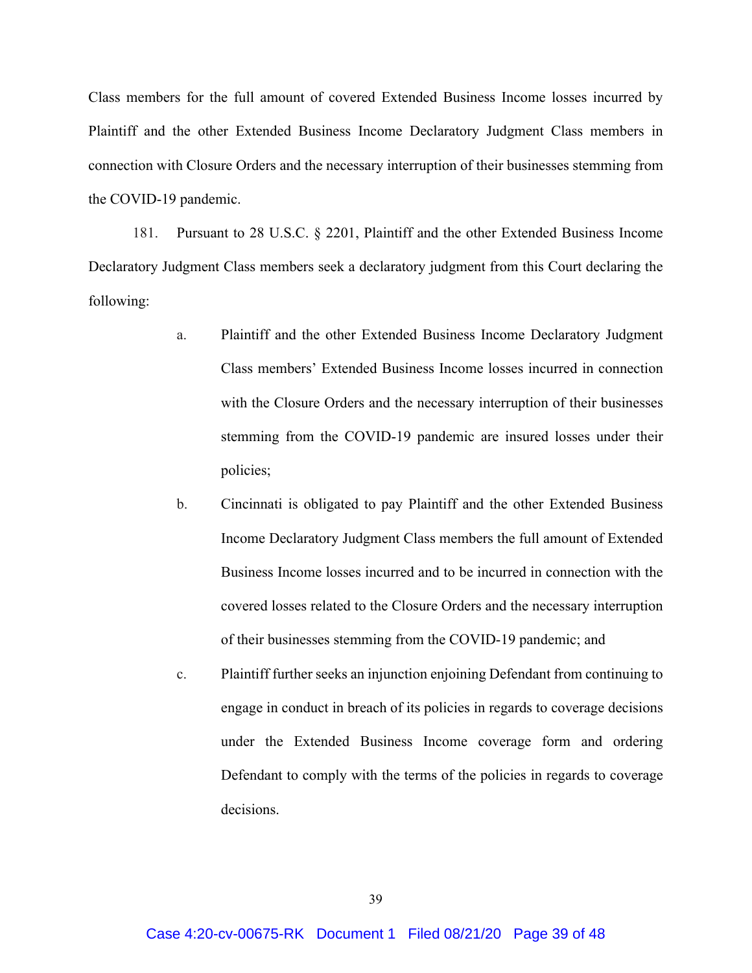Class members for the full amount of covered Extended Business Income losses incurred by Plaintiff and the other Extended Business Income Declaratory Judgment Class members in connection with Closure Orders and the necessary interruption of their businesses stemming from the COVID-19 pandemic.

181. Pursuant to 28 U.S.C. § 2201, Plaintiff and the other Extended Business Income Declaratory Judgment Class members seek a declaratory judgment from this Court declaring the following:

- a. Plaintiff and the other Extended Business Income Declaratory Judgment Class members' Extended Business Income losses incurred in connection with the Closure Orders and the necessary interruption of their businesses stemming from the COVID-19 pandemic are insured losses under their policies;
- b. Cincinnati is obligated to pay Plaintiff and the other Extended Business Income Declaratory Judgment Class members the full amount of Extended Business Income losses incurred and to be incurred in connection with the covered losses related to the Closure Orders and the necessary interruption of their businesses stemming from the COVID-19 pandemic; and
- c. Plaintiff further seeks an injunction enjoining Defendant from continuing to engage in conduct in breach of its policies in regards to coverage decisions under the Extended Business Income coverage form and ordering Defendant to comply with the terms of the policies in regards to coverage decisions.

39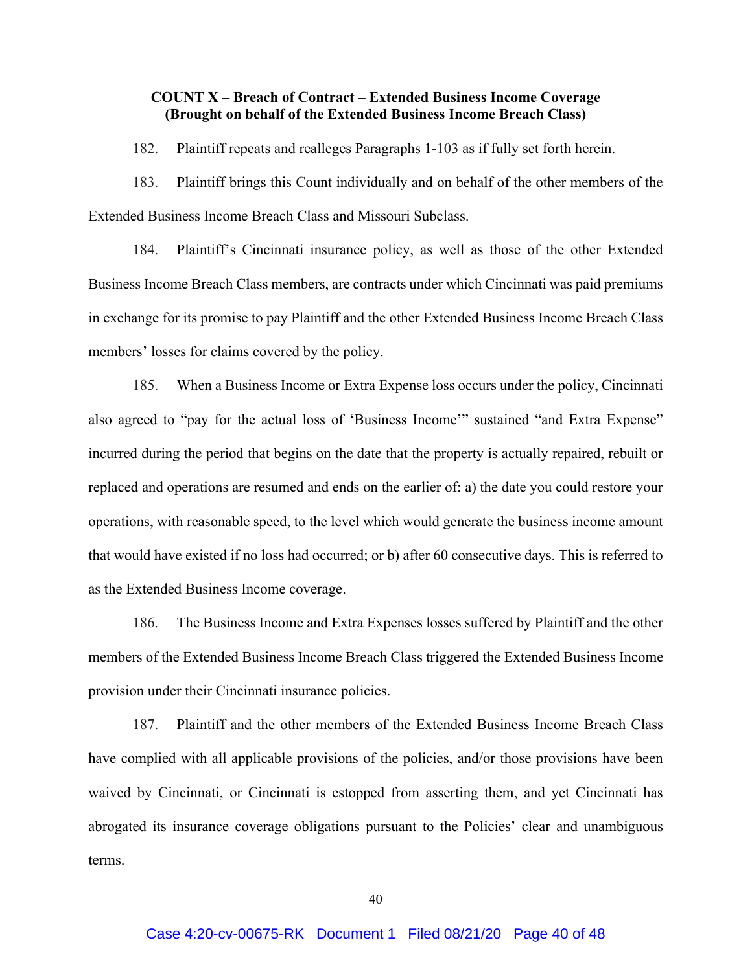## **COUNT X – Breach of Contract – Extended Business Income Coverage (Brought on behalf of the Extended Business Income Breach Class)**

182. Plaintiff repeats and realleges Paragraphs 1-103 as if fully set forth herein.

183. Plaintiff brings this Count individually and on behalf of the other members of the Extended Business Income Breach Class and Missouri Subclass.

184. Plaintiff's Cincinnati insurance policy, as well as those of the other Extended Business Income Breach Class members, are contracts under which Cincinnati was paid premiums in exchange for its promise to pay Plaintiff and the other Extended Business Income Breach Class members' losses for claims covered by the policy.

185. When a Business Income or Extra Expense loss occurs under the policy, Cincinnati also agreed to "pay for the actual loss of 'Business Income'" sustained "and Extra Expense" incurred during the period that begins on the date that the property is actually repaired, rebuilt or replaced and operations are resumed and ends on the earlier of: a) the date you could restore your operations, with reasonable speed, to the level which would generate the business income amount that would have existed if no loss had occurred; or b) after 60 consecutive days. This is referred to as the Extended Business Income coverage.

186. The Business Income and Extra Expenses losses suffered by Plaintiff and the other members of the Extended Business Income Breach Class triggered the Extended Business Income provision under their Cincinnati insurance policies.

187. Plaintiff and the other members of the Extended Business Income Breach Class have complied with all applicable provisions of the policies, and/or those provisions have been waived by Cincinnati, or Cincinnati is estopped from asserting them, and yet Cincinnati has abrogated its insurance coverage obligations pursuant to the Policies' clear and unambiguous terms.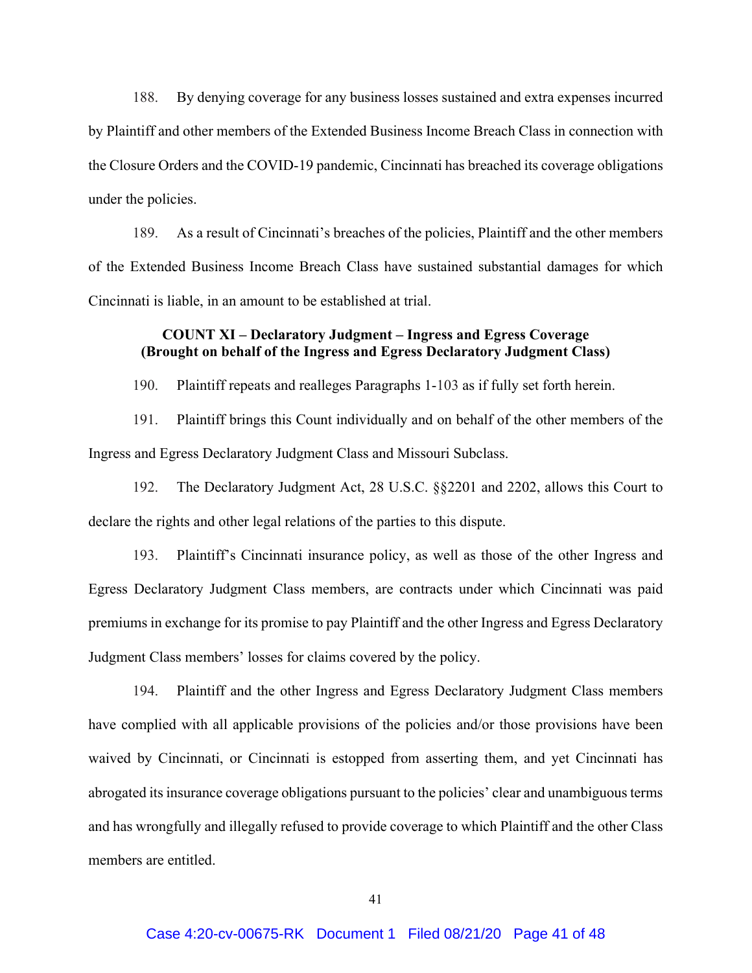188. By denying coverage for any business losses sustained and extra expenses incurred by Plaintiff and other members of the Extended Business Income Breach Class in connection with the Closure Orders and the COVID-19 pandemic, Cincinnati has breached its coverage obligations under the policies.

189. As a result of Cincinnati's breaches of the policies, Plaintiff and the other members of the Extended Business Income Breach Class have sustained substantial damages for which Cincinnati is liable, in an amount to be established at trial.

# **COUNT XI – Declaratory Judgment – Ingress and Egress Coverage (Brought on behalf of the Ingress and Egress Declaratory Judgment Class)**

190. Plaintiff repeats and realleges Paragraphs 1-103 as if fully set forth herein.

191. Plaintiff brings this Count individually and on behalf of the other members of the Ingress and Egress Declaratory Judgment Class and Missouri Subclass.

192. The Declaratory Judgment Act, 28 U.S.C. §§2201 and 2202, allows this Court to declare the rights and other legal relations of the parties to this dispute.

193. Plaintiff's Cincinnati insurance policy, as well as those of the other Ingress and Egress Declaratory Judgment Class members, are contracts under which Cincinnati was paid premiums in exchange for its promise to pay Plaintiff and the other Ingress and Egress Declaratory Judgment Class members' losses for claims covered by the policy.

194. Plaintiff and the other Ingress and Egress Declaratory Judgment Class members have complied with all applicable provisions of the policies and/or those provisions have been waived by Cincinnati, or Cincinnati is estopped from asserting them, and yet Cincinnati has abrogated its insurance coverage obligations pursuant to the policies' clear and unambiguous terms and has wrongfully and illegally refused to provide coverage to which Plaintiff and the other Class members are entitled.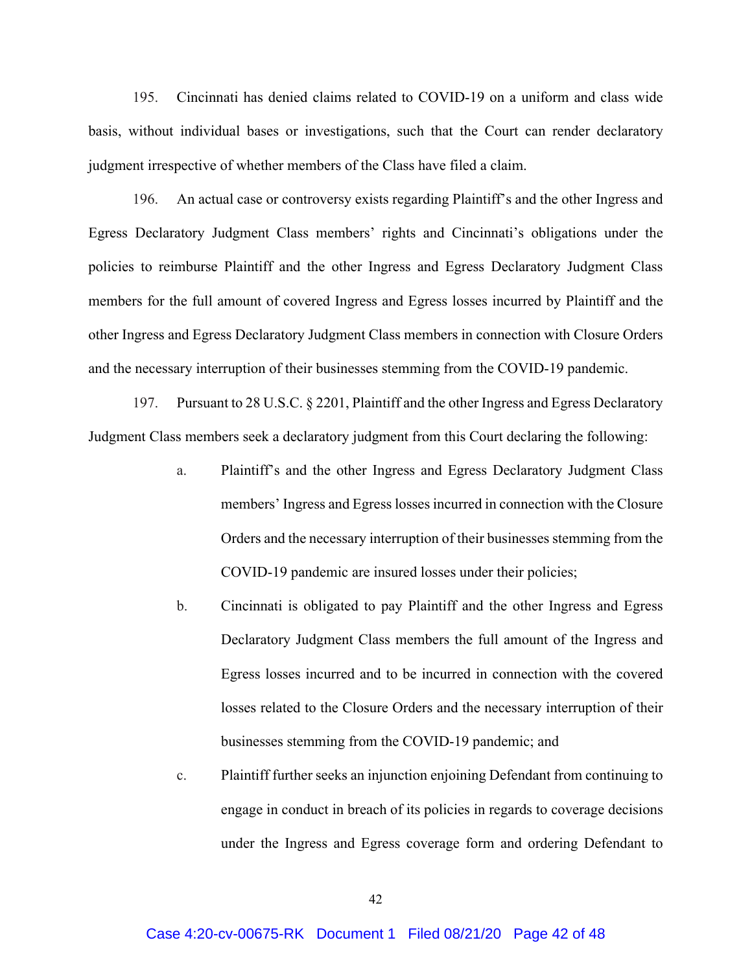195. Cincinnati has denied claims related to COVID-19 on a uniform and class wide basis, without individual bases or investigations, such that the Court can render declaratory judgment irrespective of whether members of the Class have filed a claim.

196. An actual case or controversy exists regarding Plaintiff's and the other Ingress and Egress Declaratory Judgment Class members' rights and Cincinnati's obligations under the policies to reimburse Plaintiff and the other Ingress and Egress Declaratory Judgment Class members for the full amount of covered Ingress and Egress losses incurred by Plaintiff and the other Ingress and Egress Declaratory Judgment Class members in connection with Closure Orders and the necessary interruption of their businesses stemming from the COVID-19 pandemic.

197. Pursuant to 28 U.S.C. § 2201, Plaintiff and the other Ingress and Egress Declaratory Judgment Class members seek a declaratory judgment from this Court declaring the following:

- a. Plaintiff's and the other Ingress and Egress Declaratory Judgment Class members' Ingress and Egress losses incurred in connection with the Closure Orders and the necessary interruption of their businesses stemming from the COVID-19 pandemic are insured losses under their policies;
- b. Cincinnati is obligated to pay Plaintiff and the other Ingress and Egress Declaratory Judgment Class members the full amount of the Ingress and Egress losses incurred and to be incurred in connection with the covered losses related to the Closure Orders and the necessary interruption of their businesses stemming from the COVID-19 pandemic; and
- c. Plaintiff further seeks an injunction enjoining Defendant from continuing to engage in conduct in breach of its policies in regards to coverage decisions under the Ingress and Egress coverage form and ordering Defendant to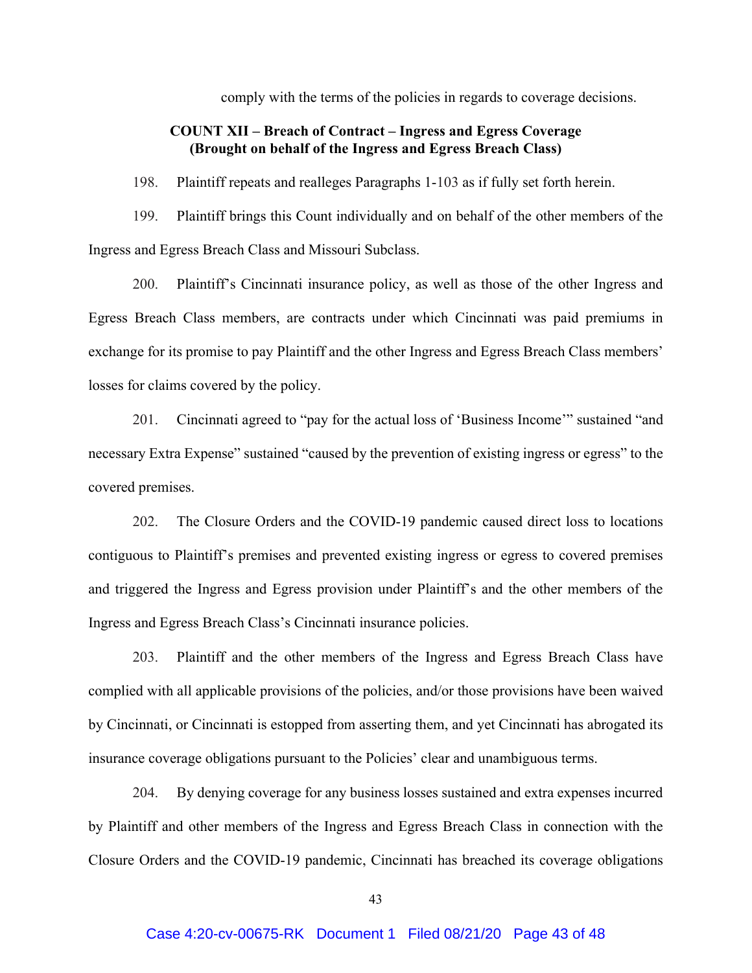comply with the terms of the policies in regards to coverage decisions.

# **COUNT XII – Breach of Contract – Ingress and Egress Coverage (Brought on behalf of the Ingress and Egress Breach Class)**

198. Plaintiff repeats and realleges Paragraphs 1-103 as if fully set forth herein.

199. Plaintiff brings this Count individually and on behalf of the other members of the Ingress and Egress Breach Class and Missouri Subclass.

200. Plaintiff's Cincinnati insurance policy, as well as those of the other Ingress and Egress Breach Class members, are contracts under which Cincinnati was paid premiums in exchange for its promise to pay Plaintiff and the other Ingress and Egress Breach Class members' losses for claims covered by the policy.

201. Cincinnati agreed to "pay for the actual loss of 'Business Income'" sustained "and necessary Extra Expense" sustained "caused by the prevention of existing ingress or egress" to the covered premises.

202. The Closure Orders and the COVID-19 pandemic caused direct loss to locations contiguous to Plaintiff's premises and prevented existing ingress or egress to covered premises and triggered the Ingress and Egress provision under Plaintiff's and the other members of the Ingress and Egress Breach Class's Cincinnati insurance policies.

203. Plaintiff and the other members of the Ingress and Egress Breach Class have complied with all applicable provisions of the policies, and/or those provisions have been waived by Cincinnati, or Cincinnati is estopped from asserting them, and yet Cincinnati has abrogated its insurance coverage obligations pursuant to the Policies' clear and unambiguous terms.

204. By denying coverage for any business losses sustained and extra expenses incurred by Plaintiff and other members of the Ingress and Egress Breach Class in connection with the Closure Orders and the COVID-19 pandemic, Cincinnati has breached its coverage obligations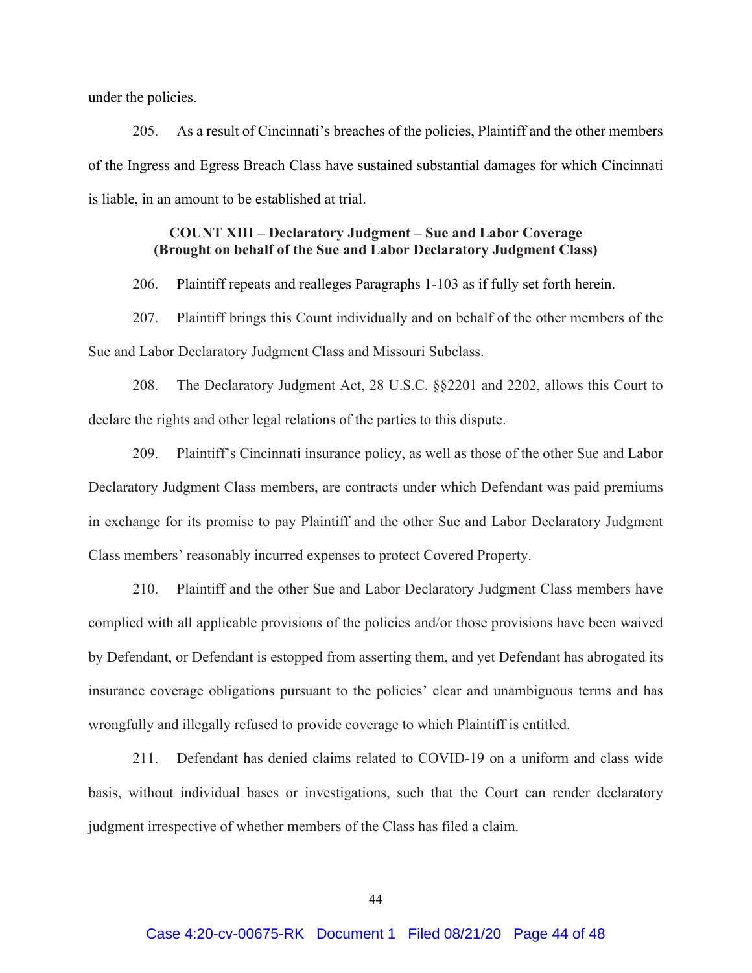under the policies.

205. As a result of Cincinnati's breaches of the policies, Plaintiff and the other members of the Ingress and Egress Breach Class have sustained substantial damages for which Cincinnati is liable, in an amount to be established at trial.

# **COUNT XIII – Declaratory Judgment – Sue and Labor Coverage (Brought on behalf of the Sue and Labor Declaratory Judgment Class)**

206. Plaintiff repeats and realleges Paragraphs 1-103 as if fully set forth herein.

207. Plaintiff brings this Count individually and on behalf of the other members of the Sue and Labor Declaratory Judgment Class and Missouri Subclass.

208. The Declaratory Judgment Act, 28 U.S.C. §§2201 and 2202, allows this Court to declare the rights and other legal relations of the parties to this dispute.

209. Plaintiff's Cincinnati insurance policy, as well as those of the other Sue and Labor Declaratory Judgment Class members, are contracts under which Defendant was paid premiums in exchange for its promise to pay Plaintiff and the other Sue and Labor Declaratory Judgment Class members' reasonably incurred expenses to protect Covered Property.

210. Plaintiff and the other Sue and Labor Declaratory Judgment Class members have complied with all applicable provisions of the policies and/or those provisions have been waived by Defendant, or Defendant is estopped from asserting them, and yet Defendant has abrogated its insurance coverage obligations pursuant to the policies' clear and unambiguous terms and has wrongfully and illegally refused to provide coverage to which Plaintiff is entitled.

211. Defendant has denied claims related to COVID-19 on a uniform and class wide basis, without individual bases or investigations, such that the Court can render declaratory judgment irrespective of whether members of the Class has filed a claim.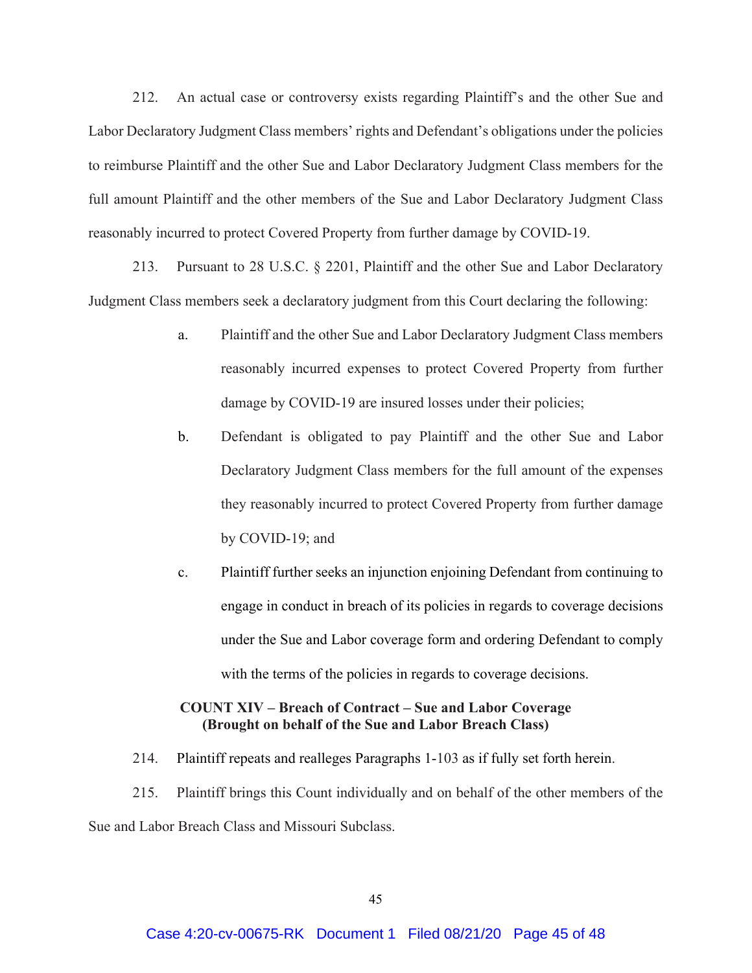212. An actual case or controversy exists regarding Plaintiff's and the other Sue and Labor Declaratory Judgment Class members' rights and Defendant's obligations under the policies to reimburse Plaintiff and the other Sue and Labor Declaratory Judgment Class members for the full amount Plaintiff and the other members of the Sue and Labor Declaratory Judgment Class reasonably incurred to protect Covered Property from further damage by COVID-19.

213. Pursuant to 28 U.S.C. § 2201, Plaintiff and the other Sue and Labor Declaratory Judgment Class members seek a declaratory judgment from this Court declaring the following:

- a. Plaintiff and the other Sue and Labor Declaratory Judgment Class members reasonably incurred expenses to protect Covered Property from further damage by COVID-19 are insured losses under their policies;
- b. Defendant is obligated to pay Plaintiff and the other Sue and Labor Declaratory Judgment Class members for the full amount of the expenses they reasonably incurred to protect Covered Property from further damage by COVID-19; and
- c. Plaintiff further seeks an injunction enjoining Defendant from continuing to engage in conduct in breach of its policies in regards to coverage decisions under the Sue and Labor coverage form and ordering Defendant to comply with the terms of the policies in regards to coverage decisions.

# **COUNT XIV – Breach of Contract – Sue and Labor Coverage (Brought on behalf of the Sue and Labor Breach Class)**

214. Plaintiff repeats and realleges Paragraphs 1-103 as if fully set forth herein.

215. Plaintiff brings this Count individually and on behalf of the other members of the Sue and Labor Breach Class and Missouri Subclass.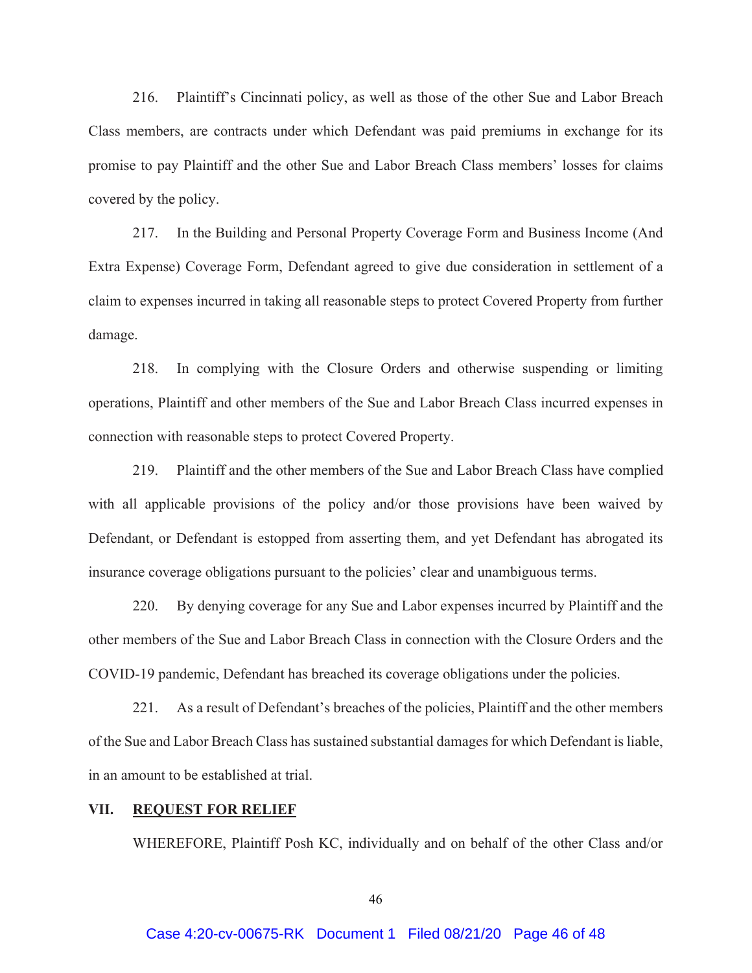216. Plaintiff's Cincinnati policy, as well as those of the other Sue and Labor Breach Class members, are contracts under which Defendant was paid premiums in exchange for its promise to pay Plaintiff and the other Sue and Labor Breach Class members' losses for claims covered by the policy.

217. In the Building and Personal Property Coverage Form and Business Income (And Extra Expense) Coverage Form, Defendant agreed to give due consideration in settlement of a claim to expenses incurred in taking all reasonable steps to protect Covered Property from further damage.

218. In complying with the Closure Orders and otherwise suspending or limiting operations, Plaintiff and other members of the Sue and Labor Breach Class incurred expenses in connection with reasonable steps to protect Covered Property.

219. Plaintiff and the other members of the Sue and Labor Breach Class have complied with all applicable provisions of the policy and/or those provisions have been waived by Defendant, or Defendant is estopped from asserting them, and yet Defendant has abrogated its insurance coverage obligations pursuant to the policies' clear and unambiguous terms.

220. By denying coverage for any Sue and Labor expenses incurred by Plaintiff and the other members of the Sue and Labor Breach Class in connection with the Closure Orders and the COVID-19 pandemic, Defendant has breached its coverage obligations under the policies.

221. As a result of Defendant's breaches of the policies, Plaintiff and the other members of the Sue and Labor Breach Class has sustained substantial damages for which Defendant is liable, in an amount to be established at trial.

#### **VII. REQUEST FOR RELIEF**

WHEREFORE, Plaintiff Posh KC, individually and on behalf of the other Class and/or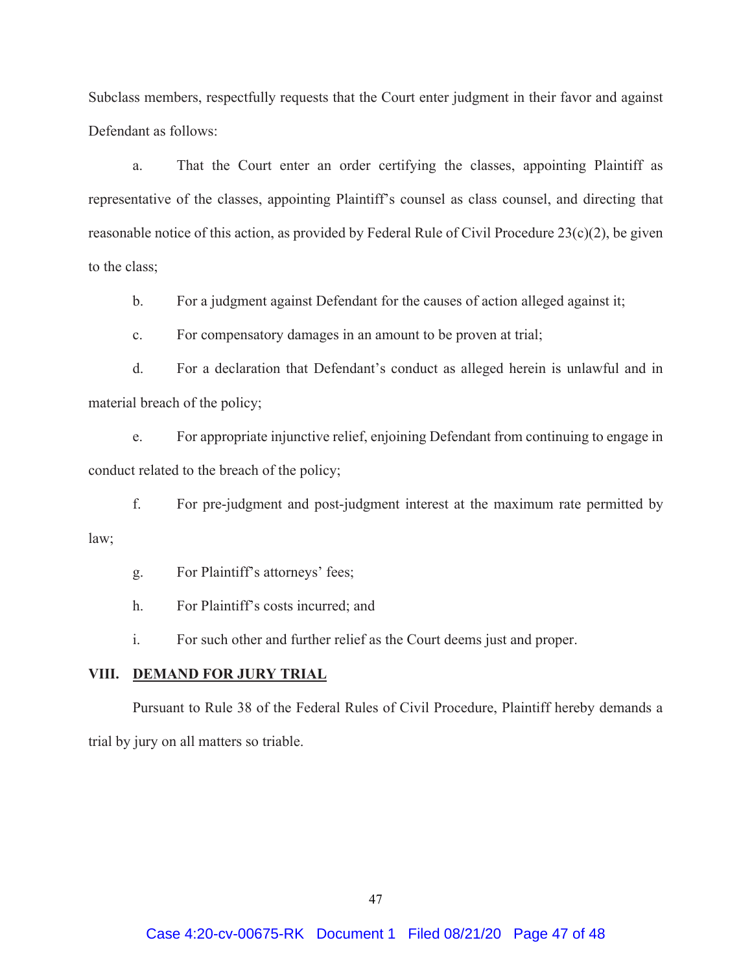Subclass members, respectfully requests that the Court enter judgment in their favor and against Defendant as follows:

a. That the Court enter an order certifying the classes, appointing Plaintiff as representative of the classes, appointing Plaintiff's counsel as class counsel, and directing that reasonable notice of this action, as provided by Federal Rule of Civil Procedure 23(c)(2), be given to the class;

b. For a judgment against Defendant for the causes of action alleged against it;

c. For compensatory damages in an amount to be proven at trial;

d. For a declaration that Defendant's conduct as alleged herein is unlawful and in material breach of the policy;

e. For appropriate injunctive relief, enjoining Defendant from continuing to engage in conduct related to the breach of the policy;

f. For pre-judgment and post-judgment interest at the maximum rate permitted by law;

g. For Plaintiff's attorneys' fees;

h. For Plaintiff's costs incurred; and

i. For such other and further relief as the Court deems just and proper.

## **VIII. DEMAND FOR JURY TRIAL**

Pursuant to Rule 38 of the Federal Rules of Civil Procedure, Plaintiff hereby demands a trial by jury on all matters so triable.

47